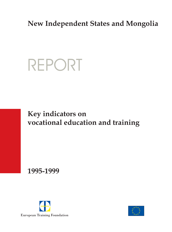### **New Independent States and Mongolia**

# REPORT

### **Key indicators on vocational education and training**

**1995-1999**



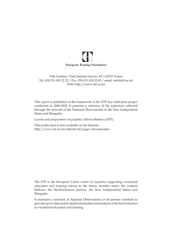

#### Villa Gualino, Viale Settimio Severo, 65, I-10133 Torino Tel: (39) 011 630 22 22 / Fax: (39) 011 630 22 00 / email: info@etf.eu.int Web: http://www.etf.eu.int

This report is published in the framework of the ETF Key Indicators project conducted in 2000-2002. It presents a selection of the indicators collected through the network of the National Observatories in the New Independent States and Mongolia.

Layout and preparatory of graphics: Mircea Badescu (ETF).

This publication is also available on the Internet: http://www.etf.eu.int/etfweb.nsf/pages/downloadnis

The ETF is the European Union centre of expertise supporting vocational education and training reform in the future member states, the western Balkans, the Mediterranean partner, the New Independent States and Mongolia.

It maintains a network of National Observatories in its partner countries to provide up-to-date and in-depth information and analysis of the local situation in vocational education and training.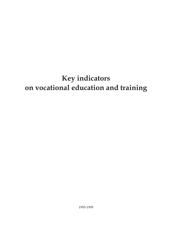# **Key indicators on vocational education and training**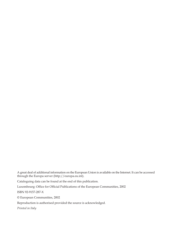A great deal of additional information on the European Union is available on the Internet. It can be accessed through the Europa server (http://europa.eu.int).

Cataloguing data can be found at the end of this publication.

Luxembourg: Office for Official Publications of the European Communities, 2002

ISBN 92-9157-287-X

© European Communities, 2002

Reproduction is authorised provided the source is acknowledged.

*Printed in Italy*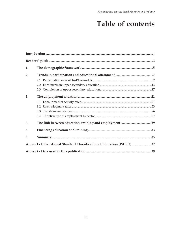### Table of contents

| 1. |                                                                         |  |
|----|-------------------------------------------------------------------------|--|
| 2. |                                                                         |  |
|    |                                                                         |  |
|    |                                                                         |  |
|    |                                                                         |  |
| 3. |                                                                         |  |
|    |                                                                         |  |
|    |                                                                         |  |
|    |                                                                         |  |
|    |                                                                         |  |
| 4. |                                                                         |  |
| 5. |                                                                         |  |
| 6. |                                                                         |  |
|    | Annex 1 - International Standard Classification of Education (ISCED) 37 |  |
|    |                                                                         |  |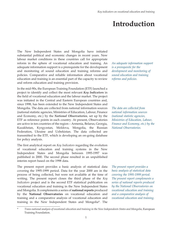### **Introduction**

The New Independent States and Mongolia have initiated substantial political and economic changes in recent years. New labour market conditions in these countries call for appropriate reform in the sphere of vocational education and training. An adequate information support is a prerequisite for the development and monitoring of sound education and training reforms and policies. Comparative and reliable information about vocational education and training is an essential part of the capacity to review and reform education and training provision.

In the mid-90s, the European Training Foundation (ETF) launched a project to identify and collect the most relevant *Key Indicators* in the field of vocational education and the labour market. The project was initiated in the Central and Eastern European countries and, since 1998, has been extended to the New Independent States and Mongolia. The data are collected from national information sources (national statistic agencies, Ministries of Education, Labour, Finance and Economy, etc.) by the *National Observatories*, set up by the ETF as reference points in each country. At present, Observatories are active in ten countries of the region – Armenia, Belarus, Georgia, Kazakhstan, Kyrgyzstan, Moldova, Mongolia, the Russian Federation, Ukraine and Uzbekistan. The data collected are transmitted to the ETF, which is developing an on-going database for policy analysis.

The first analytical report on *Key Indicators* regarding the evolution of vocational education and training systems in the New Independent States and Mongolia between 1995-1997 was published in 2000. The second phase resulted in an unpublished interim report based on the 1998 data.

The present report provides a basic analysis of statistical data covering the 1995-1999 period. Data for the year 2000 are in the process of being collected, but were not available at the time of writing. The present report closes the third phase of the *Key Indicators* project and is the second ETF statistical publication on vocational education and training in the New Independent States and Mongolia. It complements a series of **national reports** produced by the **National Observatories** on vocational education and training and a comparative analysis of vocational education and training in the New Independent States and Mongolia\*. The

*An adequate information support is a prerequisite for the development and monitoring of sound education and training reforms and policies.*

*The data are collected from national information sources (national statistic agencies, Ministries of Education, Labour, Finance and Economy, etc.) by the National Observatories.*

*The present report provides a basic analysis of statistical data covering the 1995-1999 period. The present report complements a series of national reports produced by the National Observatories on vocational education and training and a comparative analysis of vocational education and training.*

<sup>\*</sup> *Trans-national analysis of vocational education and training in the New Independents States and Mongolia*, European Training Foundation.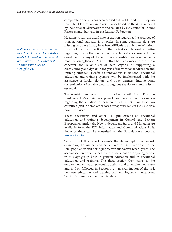comparative analysis has been carried out by ETF and the European Institute of Education and Social Policy based on the data collected by the National Observatories and collated by the Centre for Science Research and Statistics in the Russian Federation.

Needless to say, the usual note of caution regarding the accuracy of trans-national statistics is in order. In some countries data are missing, in others it may have been difficult to apply the definitions provided for the collection of the indicators. National expertise regarding the collection of comparable statistics needs to be developed in many of the countries and institutional arrangements must be strengthened. A great effort has been made to provide a coherent and reliable set of data, capable of supporting a cross-country and dynamic analysis of the vocational education and training situation. Insofar as innovations in national vocational education and training systems will be implemented with the assistance of foreign donors' and other partners' interventions, dissemination of reliable data throughout the donor community is essential.

Turkmenistan and Azerbaijan did not work with the ETF on the most recent *Key Indicators* project, so there is no information regarding the situation in these countries in 1999. For these two countries (and in some other cases for specific tables) the 1998 data have been used.

These documents and other ETF publications on vocational education and training development in Central and Eastern European countries, the New Independent States and Mongolia are available from the ETF Information and Communications Unit. Some of them can be consulted on the Foundation's website: www.etf.eu.int

Section 1 of this report presents the demographic framework examining the number and percentages of 14-19 year olds in the total population and demographic variations over recent years. The second section presents the trends in participation for young people in this age-group both in general education and in vocational education and training. The third section then turns to the employment situation presenting activity and unemployment rates and is then followed in Section 4 by an examination of the link between education and training and employment connections. Section 5 presents some financial data.

*National expertise regarding the collection of comparable statistics needs to be developed in many of the countries and institutional arrangements must be strengthened.*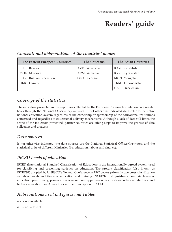## **Readers' guide**

TKM Turkmenistan UZB Uzbekistan

#### The Eastern European Countries **The Caucasus** The Asian Countries BEL Belarus MOL Moldova RUS Russian Federation AZE Azerbaijan ARM Armenia GEO Georgia KAZ Kazakhstan KYR Kyrgyzstan MON Mongolia

#### *Conventional abbreviations of the countries' names*

#### *Coverage of the statistics*

The indicators presented in this report are collected by the European Training Foundation on a regular basis through the National Observatory network. If not otherwise indicated data refer to the entire national education system regardless of the ownership or sponsorship of the educational institutions concerned and regardless of educational delivery mechanisms. Although a lack of data still limits the scope of the indicators presented, partner countries are taking steps to improve the process of data collection and analysis.

#### *Data sources*

UKR Ukraine

If not otherwise indicated, the data sources are the National Statistical Offices/Institutes, and the statistical units of different Ministries (i.e. education, labour and finance).

#### *ISCED levels of education*

ISCED (**I**nternational **S**tandard **C**lassification of **Ed**ucation) is the internationally agreed system used for classifying and presenting statistics on education. The present classification (also known as ISCED97) adopted by UNESCO's General Conference in 1997 covers primarily two cross-classification variables: levels and fields of education and training. ISCED97 distinguishes among six levels of education: pre-primary, primary, lower secondary, upper secondary, post-secondary non-tertiary, and tertiary education. See Annex 1 for a fuller description of ISCED.

#### *Abbreviations used in Figures and Tables*

*n.a.* – not available

*n.r.* – not relevant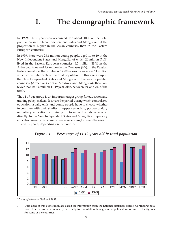### **1. The demographic framework**

In 1999, 14-19 year-olds accounted for about 10% of the total population in the New Independent States and Mongolia, but the proportion is higher in the Asian countries than in the Eastern European countries.

In 1999, there were 28.4 million young people, aged 14 to 19 in the New Independent States and Mongolia, of which 20 million (71%) lived in the Eastern European countries, 6.5 million (23%) in the Asian countries and 1.9 million in the Caucasus (6%). In the Russian Federation alone, the number of 14-19 year-olds was over 14 million which constituted 50% of the total population in this age group in the New Independent States and Mongolia. In the least populated countries (Armenia, Georgia, Moldova and Mongolia), there are fewer than half a million 14-19 year-olds, between 1% and 2% of the total1.

The 14-19 age group is an important target group for education and training policy makers. It covers the period during which compulsory education usually ends and young people have to choose whether to continue with their studies in upper secondary, post-secondary or tertiary education or training or to enter the labour market directly. In the New Independent States and Mongolia compulsory education usually lasts nine or ten years ending between the ages of 15 and 17 years, depending on the country.



*Figure 1.1 Percentage of 14-19 years old in total population*

*\* Years of reference 1995 and 1997*.

<sup>1</sup> Data used in this publication are based on information from the national statistical offices. Conflicting data from different sources are nearly inevitably for population data, given the political importance of the figures for some of the countries.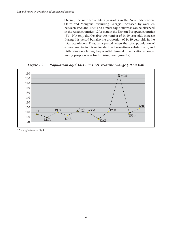Overall, the number of 14-19 year-olds in the New Independent States and Mongolia, excluding Georgia, increased by over 9% between 1995 and 1999, and a more rapid increase can be observed in the Asian countries (12%) than in the Eastern European countries (8%). Not only did the absolute number of 14-19 year-olds increase during this period but also the proportion of 14-19 year-olds in the total population. Thus, in a period when the total population of some countries in this region declined, sometimes substantially, and birth rates were falling the potential demand for education amongst young people was actually rising (see figure 1.2).

*Figure 1.2 Population aged 14-19 in 1999. relative change (1995=100)*



*\* Year of reference 1998.*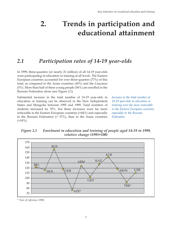### **2. Trends in participation and educational attainment**

#### *2.1 Participation rates of 14-19 year-olds*

In 1999, three-quarters (or nearly 21 million) of all 14-19 year-olds were participating in education or training at all levels. The Eastern European countries accounted for over three-quarters (77%) of this total, as compared to the Asian countries (18%) and the Caucasus (5%). More than half of these young people (56%) are enrolled in the Russian Federation alone (see Figure 2.1).

Substantial increase in the total number of 14-19 year-olds in education or training can be observed in the New Independent States and Mongolia between 1995 and 1999. Total numbers of students increased by 35%, but these increases were far more noticeable in the Eastern European countries (+44%) and especially in the Russian Federation  $(+57%)$ , than in the Asian countries  $(+18\%).$ 

*Increase in the total number of 14-19 year-olds in education or training were far more noticeable in the Eastern European countries especially in the Russian Federation*

*Figure 2.1 Enrolment in education and training of people aged 14-19 in 1999, relative change (1995=100)*



*\* Year of reference 1998.*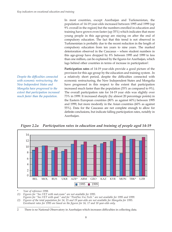*Despite the difficulties connected with economic restructuring, the New Independent States and Mongolia have progressed to the extent that participation increased much faster than the population.*

In most countries, except Azerbaijan and Turkmenistan, the population of 14-19 year-olds increased between 1995 and 1999 (up 9% overall in the region) but the numbers enrolled in education and training have grown even faster (up 35%) which indicates that more young people in this age-group are staying on after the end of compulsory education. The fact that this trend is not observed in Turkmenistan is probably due to the recent reduction in the length of compulsory education from ten years to nine years. The marked deterioration observed in the Caucasus – where student numbers in this age-group have dropped by 8% between 1995 and 1999 to less than one million, can be explained by the figures for Azerbaijan, which lags behind other countries in terms of increase in participation2.

**Participation rates** of 14-19 year-olds provide a good picture of the provision for this age group by the education and training system . In a relatively short period, despite the difficulties connected with economic restructuring, the New Independent States and Mongolia have progressed in this respect to the extent that participation increased much faster than the population (35% as compared to 9%). The overall participation rate for 14-19 year olds was slightly over 73% in 1999. It increased sharply (by almost 20 percentage points) in the Eastern European countries (80% as against 60%) between 1995 and 1999, but more modestly in the Asian countries (60% as against 55%). Data for the Caucasus are not complete enough to allow for definite conclusions, but indicate falling participation rates, notably in Azerbaijan.

14 12 10 8 6 4 2 0 BEL MOL RUS UKR AZE\* ARM GEO KAZ KYR MON TRK\* UZB 1995 1999  $\Box$ 

*Figure 2.2a Participation rates in education and training of people aged 14-19*

Year of reference 1998.

*(1) Figures for "Sec.VET with mat.exam" are not available for 1995.*

*Figures for "Sec.VET with qual." and for "Post/Sec.Voc.Tech." are not available for 1995 and 1999. (2) Figures of the total population for 14, 15 and 19 year-olds are not available for Mongolia for 1995.*

*Enrolment rates for 1995 are based on the figures for 16, 17 and 18 year-olds only.*

<sup>2</sup> There is no National Observatory in Azerbaijan which increases difficulties in collecting data.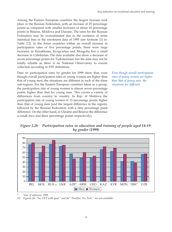Among the Eastern European countries the largest increase took place in the Russian Federation, with an increase of 25 percentage points as compared with smaller increases of about 10 percentage points in Belarus, Moldova and Ukraine. The rates for the Russian Federation may be overestimated due to the existence of some statistical bias in the enrolment data of 1995 (see footnote (1) in Table 2.2). In the Asian countries within an overall increase in participation rates of five percentage points, there were large increases in Kazakhstan, Kyrgyzstan and Mongolia but a small decrease in Uzbekistan. The data available also show a decrease of seven percentage points for Turkmenistan but the data may not be totally reliable as there is no National Observatory to ensure collection according to ETF definitions.

Data on participation rates by gender for 1999 show that, even though overall participation rates of young women are higher than that of young men, the situations are different in each of the three sub-regions. For the Eastern European countries taken as a group, the participation rate of young women is almost seven percentage points higher than that for young men. This covers a variety of differences from country to country. In Rep. of Moldova the participation rate of young women is 13 percentage points higher than that of young men (and the largest difference in the region), followed by the Russian Federation with a nine percentage point difference. On the other hand, in Ukraine and Belarus the difference is small (two and three percentage points respectively).

*Even though overall participation rates of young women are higher than that of young men, the situations are different.*





Year of reference 1998.

*(1) Figures for "Sec.VET with qual." and for "Post/Sec.Voc.Tech." are not available.*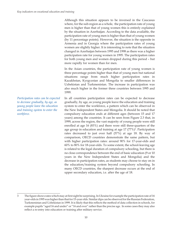Although this situation appears to be inversed in the Caucasus where, for the sub-region as a whole, the participation rate of young men is higher than that of young women this is entirely explained by the situation in Azerbaijan. According to the data available, the participation rate of young men is higher than that of young women (by 11 percentage points). However, the situation is the opposite in Armenia and in Georgia where the participation rates of young women are slightly higher. It is interesting to note that the situation changed in Azerbaijan between 1995 and 1998 as there was a higher participation rate for young women in 1995. The participation rates for both young men and women dropped during this period – but more rapidly for women than for men.

In the Asian countries, the participation rate of young women is three percentage points higher than that of young men but national situations range from much higher participation rates in Kazakhstan, Kyrgyzstan and Mongolia to smaller differences in Uzbekistan and Turkmenistan. The increase in participation was also much higher in the former three countries between 1995 and 1999.

In all countries participation rates can be expected to decrease gradually, by age, as young people leave the education and training system to enter the workforce, a pattern which can be observed in the New Independent States and Mongolia. It should be noted that compulsory education ends at different ages (between 15 and 17 years) among the countries. It can be seen from Figure 2.3 that, in 1999, across the region, the vast majority of young people were still enrolled at age 16 (83%) and there were still three-quarters of the age group in education and training at age 17 (77%)3. Participation rates decreased to just over half (57%) at age 18. By way of comparison, OECD countries demonstrate the same pattern, but with higher participation rates: around 90% for 17-year-olds and 60% to 80% for 18-year-olds. To some extent, the school-leaving age is related to the legal duration of compulsory schooling, but there is no close correspondence between the end of basic education (9 or 10 years in the New Independent States and Mongolia) and the decrease in participation rates, as students may choose to stay on in the education/training system beyond compulsory schooling. In many OECD countries, the sharpest decrease occurs at the end of upper secondary education, i.e. after the age of 18.

*Participation rates can be expected to decrease gradually, by age, as young people leave the education and training system to enter the workforce.*

<sup>3</sup> The figure shows rates which may at first sight be surprising. In Ukraine for example the participation rate of 16 year-olds in 1995 was higher than that for 15-year olds. Similar dips can be observed for the Russian Federation, Turkmenistan and Uzbekistan in 1999. It is likely that this reflects the method of data collection in schools, for example pupils "aged 16 and under" or "16 and over" rather than the precise age. In some cases they may also reflect a re-entry into education or training after military service.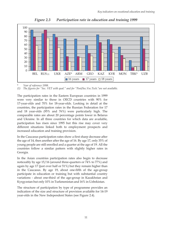

*Figure 2.3 Participation rate in education and training 1999*

Year of reference 1998.

*(1) The figures for "Sec. VET with qual." and for "Post/Sec.Voc.Tech."are not available.*

The participation rates in the Eastern European countries in 1999 were very similar to those in OECD countries with 90% for 17-year-olds and 70% for 18-year-olds. Looking in detail at the countries, the participation rates in the Russian Federation for 17 and 18 year-olds (95% and 76%) were particularly high. The comparable rates are about 20 percentage points lower in Belarus and Ukraine. In all three countries for which data are available, participation has risen since 1995 but this rise may cover very different situations linked both to employment prospects and increased education and training provision.

In the Caucasus participation rates show a first sharp decrease after the age of 14, then another after the age of 16. By age 17, only 35% of young people are still enrolled and a quarter at the age of 19. All the countries follow a similar pattern with slightly higher rates in Georgia.

In the Asian countries participation rates also begin to decrease noticeably by age 15/16 (around three-quarters or 74% to 77%) and again by age 17 (just over half or 51%) but they remain higher than in the Caucasus. By age 19, about one-fifth of the age-group participate in education or training but with substantial country variations - about one-third of the age-group in Kazakhstan and Kyrgyzstan but only 10% in Turkmenistan and 16% in Uzbekistan.

The structure of participation by type of programme provides an indication of the size and structure of provision available for 14-19 year-olds in the New Independent States (see Figure 2.4).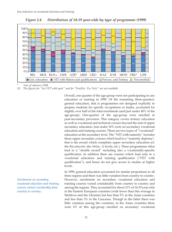

*Figure 2.4 Distribution of 14-19 year-olds by type of programme (1999)*

*\* Year of reference 1998*

*(2) The figures for "Sec.VET with qual." and for "Post/Sec. Voc.Tech." are not available.*

Overall, one-quarter of the age-group were not participating in any education or training in 1999. Of the remaining three-quarters, general education, that is programmes not designed explicitly to prepare students for specific occupations or trades, accounted for slightly over half of the total enrolments (and just under 40% of the age-group). One-quarter of the age-group were enrolled in post-secondary provision. This category covers tertiary education as well as vocational and technical courses beyond the end of upper secondary education. Just under 10% were on secondary vocational education and training courses. There are two types of "vocational" education at the secondary level. The "VET with maturity" includes those upper secondary courses which lead to a "maturity diploma", that is the award which completes upper secondary education (cf. the *Baccalauréat,* the *Abitur*, A levels, etc.). These programmes often lead to a "double award" including also a vocationally-specific qualification. In addition there are courses which lead only to a vocational education and training qualification ("VET with qualification"), and hence do not give access to studies at higher levels.

In 1999, general education accounted for similar proportions in all three regions and there was little variation from country to country. However, enrolments on secondary vocational education and training courses varied considerably from country to country and among the regions. They accounted for about 11% of 14-19 year-olds in the Eastern European countries (with fewer than this average in Moldova and the Ukraine) but less than 5% in the Asian countries and less than 3% in the Caucasus. Though in the latter there was little variation among the countries, in the Asian countries there were 6% of this age-group enrolled on secondary vocational

*Enrolments on secondary vocational education and training courses varied considerably from country to country.*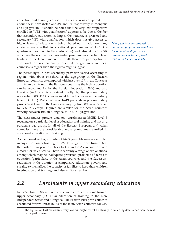education and training courses in Uzbekistan as compared with about 4% in Kazakhstan and 3% and 2% respectively in Mongolia and Kyrgyzstan. It should be noted that the very low proportions enrolled in "VET with qualification" appears to be due to the fact that secondary education leading to the maturity is preferred and secondary VET with qualification, which does not give access to higher levels of education, is being phased out. In addition many students are enrolled in vocational programmes at ISCED 4 (post-secondary non tertiary education) and also at ISCED 5B, which are the occupationally-oriented programmes at tertiary level leading to the labour market. Overall, therefore, participation in vocational or occupationally oriented programmes in these countries is higher than the figures might suggest.

The percentages in post-secondary provision varied according to region, with about one-third of the age-group in the Eastern European countries as compared with just over 10% in the Caucasus and Asian countries. In the European countries the high proportion can be accounted for by the Russian Federation (38%) and also Ukraine (24%) and is explained, partly, by the post-secondary non-tertiary (ISCED 4) courses in addition to courses at the tertiary level (ISCED 5). Participation of 14-19 year-olds in post-secondary provision is lower in the Caucasus, varying from 8% in Azerbaijan to 17% in Georgia. Figures are similar for the Asian countries varying between 10% in Mongolia to 18% in Kyrgyzstan4.

The next figures present data on enrolment at ISCED level 3 focusing on a particular level of education and training and not on a particular age group. In all of the Eastern European and Asian countries there are considerably more young men enrolled in vocational education and training.

As mentioned earlier, a quarter of 14-19 year-olds were not enrolled in any education or training in 1999. This figure varies from 18% in the Eastern European countries to 41% in the Asian countries and almost 50% in Caucasus. There is certainly a range of explanations, among which may be inadequate provision, problems of access to education (particularly in the Asian countries and the Caucasus); reductions in the duration of compulsory education; poverty and rurality (which affect the capacity of families to keep their children in education and training) and also military service.

*Many students are enrolled in vocational programmes which are the occupationally-oriented programmes at tertiary level leading to the labour market.*

### *2.2 Enrolments in upper secondary education*

In 1999, close to 8.5 million people were enrolled in some form of upper secondary (ISCED 3) education or training in the New Independent States and Mongolia. The Eastern European countries accounted for two-thirds (67%) of the total, Asian countries for 28%

<sup>4</sup> The Figure for Turkmenistan is very low but might reflect a difficulty in collecting data rather than the real participation levels.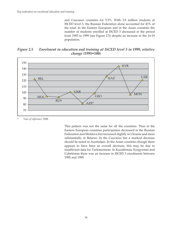and Caucasus countries for 5.5%. With 3.8 million students at ISCED level 3, the Russian Federation alone accounted for 43% of the total. In the Eastern European and in the Asian countries the number of students enrolled at ISCED 3 decreased in the period from 1995 to 1999 (see Figure 2.5) despite an increase in the 14-19 population.

*Figure 2.5 Enrolment in education and training at ISCED level 3 in 1999, relative change (1995=100)*



Year of reference 1998.

This pattern was not the same for all the countries. Thus in the Eastern European countries participation decreased in the Russian Federation and Moldova but increased slightly in Ukraine and more substantially in Belarus. In the Caucasus but a marked decrease should be noted in Azerbaijan. In the Asian countries though there appears to have been an overall decrease, this may be due to insufficient data for Turkmenistan. In Kazakhstan, Kyrgyzstan and Uzbekistan there was an increase in ISCED 3 enrolments between 1995 and 1999.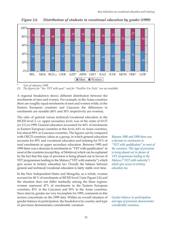*Figure 2.6 Distribution of students in vocational education by gender (1999)*



Year of reference 1998.

*(1) The figures for "Sec. VET with qual." and for "Post/Sec.Voc.Tech." are not available*

A regional breakdown shows different distribution between the enrolments of men and women. For example, in the Asian countries there are roughly equal enrolments of men and women while, in the Eastern European countries and Caucasus the differences in enrolments are sizeable (40% and 30% respectively are women).

The ratio of general versus technical/vocational education at the ISCED level 3, i.e. upper secondary level, was of the order of 63:37 (or 2:1) in 1999. General education accounted for 60% of enrolments in Eastern European countries at this level, 64% in Asian countries, but almost 89% in Caucasus countries. The figures can be compared with OECD countries, taken as a group, in which general education accounts for 49% and vocational education and training for 51% of total enrolments at upper secondary education. Between 1995 and 1999 there was a decrease in enrolments in "VET with qualification" in most of the countries (except Rep. of Moldova) which can be explained by the fact that this type of provision is being phased out in favour of VET programmes leading to the Matura ("VET with maturity") which give access to tertiary education too. Overall, the balance between general and technical/vocational education is fairly stable over time.

In the New Independent States and Mongolia, as a whole, women account for 48 % of enrolments at ISCED level 3 (see Figure 2.6) and the situation does not differ markedly among the three regions: women represent 47% of enrolments in the Eastern European countries, 45% in the Caucasus and 50% in the Asian countries. Since data by gender are very incomplete for 1995, comments in this section concentrate on the 1999 data. Within an overall situation of gender balance in participation, the breakdown by country and type of provision demonstrates considerable variation.

*Between 1995 and 1999 there was a decrease in enrolments in "VET with qualification" in most of the countries. This type of provision is being phased out in favour of VET programmes leading to the Matura ("VET with maturity") which give access to tertiary education too.*

*Gender balance in participation and type of provision demonstrates considerable variation.*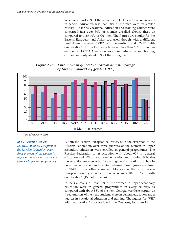Whereas almost 70% of the women at ISCED level 3 were enrolled in general education, less than 60% of the men were on similar courses. As far as vocational education and training courses were concerned just over 30% of women enrolled choose these as compared to over 40% of the men. The figures are similar for the Eastern European and Asian countries, though with a different breakdown between "VET with maturity" and "VET with qualification". In the Caucasus however less than 10% of women enrolled at ISCED 3 were on vocational education and training courses and only about 15% of the young men.

*Figure 2.7a Enrolment in general education as a percentage of total enrolment by gender (1999)*



Year of reference 1998.

*In the Eastern European countries, with the exception of the Russian Federation, over three-quarters of the women in upper secondary education were enrolled in general programmes.* Within the Eastern European countries, with the exception of the Russian Federation, over three-quarters of the women in upper secondary education were enrolled in general programmes. The Russian Federation is an exception with about 60% in general education and 40% in vocational education and training. It is also the exception for men as half were in general education and half in vocational education and training whereas these figures are closer to 60-40 for the other countries. Moldova is the only Eastern European country in which there were over 10% in "VET with qualification" (15% of the men).

In the Caucasus, at least 90% of the women in upper secondary education were in general programmes in every country, as compared with about 85% of the men. Georgia was the exception as three-quarters of the male students were in general education and a quarter in vocational education and training. The figures for "VET with qualification" are very low in the Caucasus, less than 1%.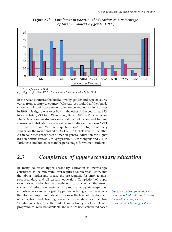

*Figure 2.7b Enrolment in vocational education as a percentage of total enrolment by gender (1999)*

Year of reference 1998.

*(1) Figures for "Sec. VET with mat.exam" are not available for 1998.*

In the Asian countries the breakdown by gender and type of course varies from country to country. Whereas just under half the female students in Uzbekistan were enrolled on general education courses in 1999, this figure was over 80% in the other Asian countries: 89% in Kazakhstan, 93% in , 83% in Mongolia and 97% in Turkmenistan. The 50% of women students on vocational education and training courses in Uzbekistan were about equally divided between "VET with maturity" and "VET with qualification". The figures are very similar for the men enrolled at ISCED 3 in Uzbekistan. In the other Asian countries enrolments of men in general education are higher (81% in Kazakhstan, 85% in Kyrgyzstan, 76% in Mongolia and 91% in Turkmenistan) but lower than the percentages for women students.

### *2.3 Completion of upper secondary education*

In many countries upper secondary education is increasingly considered as the minimum level required for successful entry into the labour market and is also the pre-requisite for entry to most post-secondary and all tertiary education. Completion of upper secondary education has become the norm against which the current success of education systems to produce adequately-equipped school-leavers can be judged. Upper secondary graduation rates is therefore an important indicator to assess the level of development of education and training systems. Since data for the true "graduation cohort", i.e. the students in the final year of the relevant programmes, were not available, the rate has been calculated based

*Upper secondary graduation rates is an important indicator to assess the level of development of education and training systems.*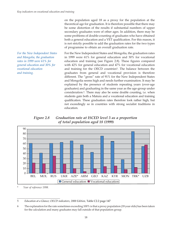on the population aged 18 as a proxy for the population at the theoretical age for graduation. It is therefore possible that there may be some distortion of the results if substantial numbers of upper secondary graduates were of other ages. In addition, there may be some problems of double-counting of graduates who have obtained both a general education and a VET qualification. For this reason, it is not strictly possible to add the graduation rates for the two types of programme to obtain an overall graduation rate.

*For the New Independent States and Mongolia, the graduation rates in 1999 were 61% for general education and 30% for vocational education and training.*

For the New Independent States and Mongolia, the graduation rates in 1999 were 61% for general education and 30% for vocational education and training (see Figure 2.8). These figures compared with 42% for general education and 47% for vocational education and training for the OECD countries<sup>5</sup>. The balance between the graduates from general and vocational provision is therefore different. The "gross" rate of 91% for the New Independent States and Mongolia seems high and needs further examination. It may be explained by the presence of students repeating years (over-age graduates) and graduating in the same year as the age-group under consideration.6. There may also be some double counting, i.e. when students gain both a Matura and a vocational education and training qualification. These graduation rates therefore look rather high, but not exceedingly so in countries with strong socialist traditions in education.

*Figure 2.8 Graduation rate at ISCED level 3 as a proportion of total population aged 18 (1999)*



Year of reference 1998.

5 *Education at a Glance; OECD indicators, 2000 Edition,* Table C2.2 page 147

<sup>6</sup> The explanation for the rate sometimes exceeding 100% is that a proxy population (18 year olds) has been taken for the calculation and many graduates may fall outside of that population group.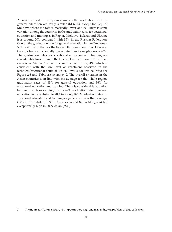Among the Eastern European countries the graduation rates for general education are fairly similar (61-63%), except for Rep. of Moldova where the rate is markedly lower at 41%. There is some variation among the countries in the graduation rates for vocational education and training as in Rep of. Moldova, Belarus and Ukraine it is around 20% compared with 35% in the Russian Federation. Overall the graduation rate for general education in the Caucasus – 58% is similar to that for the Eastern European countries. However Georgia has a substantially lower rate than its neighbours – 43%. The graduation rates for vocational education and training are considerably lower than in the Eastern European countries with an average of 8%. In Armenia the rate is even lower, 4%, which is consistent with the low level of enrolment observed in the technical/vocational route at ISCED level 3 for this country: see Figure 2.6 and Table 2.6 in annex 2. The overall situation in the Asian countries is in line with the average for the whole region: graduation rates of 63% for general education and 36% for vocational education and training. There is considerable variation between countries ranging from a 76% graduation rate in general education in Kazakhstan to 28% in Mongolia7. Graduation rates for vocational education and training are generally lower than average (14% in Kazakhstan, 15% in Kyrgyzstan and 8% in Mongolia) but exceptionally high in Uzbekistan (58%).

<sup>7</sup> The figure for Turkmenistan, 85%, appears very high and may indicate a problem of data collection.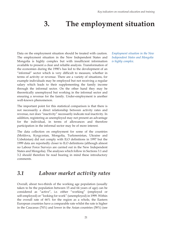### **3. The employment situation**

Data on the employment situation should be treated with caution. The employment situation in the New Independent States and Mongolia is highly complex but with insufficient information available to present a clear and reliable analysis. Transformation of the economies during the 1990's has led to the development of an "informal" sector which is very difficult to measure, whether in terms of activity or revenue. There are a variety of situations, for example individuals may be employed but not receiving a regular salary which leads to their supplementing the family income through the informal sector. On the other hand they may be theoretically unemployed but working in the informal sector and ensuring a revenue for the family. Under-employment is another well-known phenomenon.

The important point for this statistical comparison is that there is not necessarily a direct relationship between activity rates and revenue, nor does "inactivity" necessarily indicate real inactivity. In addition, registering as unemployed may not present an advantage for the individual, in terms of allowances and therefore participation in the informal sector may be of more interest.

The data collection on employment for some of the countries (Moldova, Kyrgyzstan, Mongolia, Turkmenistan, Ukraine and Uzbekistan) did not comply with ILO definitions in 1997 but the 1999 data are reportedly closer to ILO definitions (although almost no Labour Force Surveys are carried out in the New Independent States and Mongolia). The analyses which follow in Sections 3.1 and 3.2 should therefore be read bearing in mind these introductory comments.

#### *3.1 Labour market activity rates*

Overall, about two-thirds of the working age population (usually taken to be the population between 15 and 64 years of age) can be considered as "active", i.e. either "working" (employed or self-employed) or "looking for work" (unemployed) in 1999. Within the overall rate of 66% for the region as a whole, the Eastern European countries have a comparable rate whilst the rate is higher in the Caucasus (74%) and lower in the Asian countries (58%) (see

*Employment situation in the New Independent States and Mongolia is highly complex.*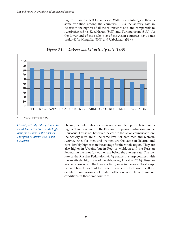Figure 3.1 and Table 3.1 in annex 2). Within each sub-region there is some variation among the countries. Thus the activity rate in Belarus is the highest of all the countries at 86% and comparable to Azerbaijan (83%), Kazakhstan (84%) and Turkmenistan (81%). At the lower end of the scale, two of the Asian countries have rates under 60%: Mongolia (50%) and Uzbekistan (54%).



*Figure 3.1a Labour market activity rate (1999)*

*\* Year of reference 1998.*

*Overall, activity rates for men are about ten percentage points higher than for women in the Eastern European countries and in the Caucasus.*

Overall, activity rates for men are about ten percentage points higher than for women in the Eastern European countries and in the Caucasus. This is not however the case in the Asian countries where the activity rates are at the same level for both men and women. Activity rates for men and women are the same in Belarus and considerably higher than the average for the whole region. They are also higher in Ukraine but in Rep. of Moldova and the Russian Federation the rates for women are below the average rate. The low rate of the Russian Federation (64%) stands in sharp contrast with the relatively high rate of neighbouring Ukraine (75%). Russian women show one of the lowest activity rates in the area. No attempt is made here to account for these differences which would call for detailed comparisons of data collection and labour market conditions in these two countries.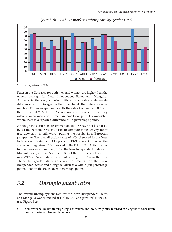

*Figure 3.1b Labour market activity rate by gender (1999)*

*\* Year of reference 1998.*

Rates in the Caucasus for both men and women are higher than the overall average for New Independent States and Mongolia. Armenia is the only country with no noticeable male-female difference but in Georgia on the other hand, the difference is as much as 17 percentage points with the rate of women at 58% and that of men at 75%. In the Asian countries differences in activity rates between men and women are small except in Turkmenistan where there is a reported difference of 15 percentage points.

Although the definitions recommended by ILO have not been used by all the National Observatories to compute these activity rates<sup>8</sup> (see above), it is still worth putting the results in a European perspective. The overall activity rate of 66% observed in the New Independent States and Mongolia in 1999 is not far below the corresponding rate of 71% observed in the EU in 2000. Activity rates for women are very similar (61% in the New Independent States and Mongolia as against 63% in the EU), but they are clearly lower for men (71% in New Independent States as against 79% in the EU). Thus, the gender differences appear smaller for the New Independent States and Mongolia taken as a whole (ten percentage points) than in the EU (sixteen percentage points).

#### *3.2 Unemployment rates*

The overall unemployment rate for the New Independent States and Mongolia was estimated at 11% in 1999 as against 9% in the EU (see Figure 3.2).

<sup>8</sup> Some national results are surprising. For instance the low activity rates recorded in Mongolia or Uzbekistan may be due to problems of definitions.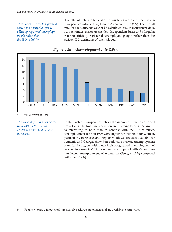*These rates in New Independent States and Mongolia refer to officially registered unemployed people rather than the ILO definition.*

The official data available show a much higher rate in the Eastern European countries (13%) than in Asian countries (4%). The overall rate for the Caucasus cannot be calculated due to insufficient data. As a reminder, these rates in New Independent States and Mongolia refer to officially registered unemployed people rather than the stricter ILO definition of unemployed9.



*Figure 3.2a Unemployment rate (1999)*

*\* Year of reference 1998.*

*The unemployment rates varied from 13% in the Russian Federation and Ukraine to 7% in Belarus.*

In the Eastern European countries the unemployment rates varied from 13% in the Russian Federation and Ukraine to 7% in Belarus. It is interesting to note that, in contrast with the EU countries, unemployment rates in 1999 were higher for men than for women, particularly in Belarus and Rep. of Moldova. The data available for Armenia and Georgia show that both have average unemployment rates for the region, with much higher registered unemployment of women in Armenia (15% for women as compared with 8% for men) but lower unemployment of women in Georgia (12%) compared with men (14%).

<sup>9</sup> People who are without work, are actively seeking employment and are available to start work.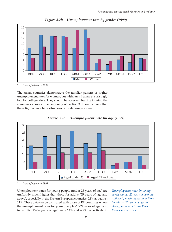

*Figure 3.2b Unemployment rate by gender (1999)*

*\* Year of reference 1998.*

The Asian countries demonstrate the familiar pattern of higher unemployment rates for women, but with rates that are surprisingly low for both genders. They should be observed bearing in mind the comments above at the beginning of Section 3. It seems likely that these figures may hide situations of under-employment.





*\* Year of reference 1998.*

Unemployment rates for young people (under 25 years of age) are uniformly much higher than those for adults (25 years of age and above), especially in the Eastern European countries: 24% as against 11%. These data can be compared with those of EU countries where the unemployment rates for young people (15-24 years of age) and for adults (25-64 years of age) were 14% and 6.5% respectively in

*Unemployment rates for young people (under 25 years of age) are uniformly much higher than those for adults (25 years of age and above), especially in the Eastern European countries.*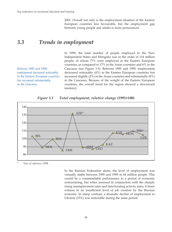2001. Overall not only is the employment situation of the Eastern European countries less favourable, but the employment gap between young people and adults is more pronounced.

#### *3.3 Trends in employment*

*Between 1995 and 1999, employment decreased noticeably in the Eastern European countries but increased substantially in the Caucasus.*

In 1999, the total number of people employed in the New Independent States and Mongolia was in the order of 114 million people, of whom 77% were employed in the Eastern European countries, as compared to 17% in the Asian countries and 6% in the Caucasus (see Figure 3.3). Between 1995 and 1999, employment decreased noticeably (4%) in the Eastern European countries but increased slightly (2%) in the Asian countries and substantially (8%) in the Caucasus. Because of the weight of the Eastern European countries, the overall trend for the region showed a downward tendency.



*Figure 3.3 Total employment, relative change (1995=100)*

*\* Year of reference 1998.*

In the Russian Federation alone, the level of employment was virtually stable between 1995 and 1999 at 64 million people. This would be a commendable performance in a period of economic restructuring, but when assessed in conjunction with the sharply rising unemployment rates and deteriorating activity rates, it bears witness to an insufficient level of job creation by the Russian economy. In sharp contrast, a dramatic decline of employment in Ukraine (15%) was noticeable during the same period.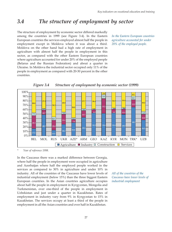#### *3.4 The structure of employment by sector*

The structure of employment by economic sector differed markedly among the countries in 1999 (see Figure 3.4). In the Eastern European countries the services employed almost half the people in employment except in Moldova where it was about a third. Moldova on the other hand had a high rate of employment in agriculture with almost half the people in employment in this sector, as compared with the other Eastern European countries where agriculture accounted for under 20% of the employed people (Belarus and the Russian Federation) and about a quarter in Ukraine. In Moldova the industrial sector occupied only 11% of the people in employment as compared with 20-30 percent in the other countries.

*In the Eastern European countries agriculture accounted for under 20% of the employed people.*



*Figure 3.4 Structure of employment by economic sector (1999)*

*\* Year of reference 1998.*

In the Caucasus there was a marked difference between Georgia, where half the people in employment were occupied in agriculture and Azerbaijan where half the employed people worked in the services as compared to 30% in agriculture and under 10% in industry. All of the countries of the Caucasus have lower levels of industrial employment (below 15%) than the three biggest Eastern European countries. In the Asian countries agriculture occupies about half the people in employment in Kyrgyzstan, Mongolia and Turkmenistan, over one-third of the people in employment in Uzbekistan and just under a quarter in Kazakhstan. Rates of employment in industry vary from 9% in Kyrgyzstan to 15% in Kazakhstan. The services occupy at least a third of the people in employment in all the Asian countries and over half in Kazakhstan.

*All of the countries of the Caucasus have lower levels of industrial employment*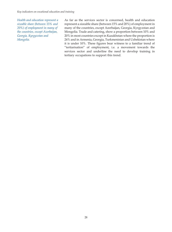*Health and education represent a sizeable share (between 15% and 20%) of employment in many of the countries, except Azerbaijan, Georgia, Kyrgyzstan and Mongolia.*

As far as the services sector is concerned, health and education represent a sizeable share (between 15% and 20%) of employment in many of the countries, except Azerbaijan, Georgia, Kyrgyzstan and Mongolia. Trade and catering, show a proportion between 10% and 20% in most countries except in Kazakhstan where the proportion is 24% and in Armenia, Georgia, Turkmenistan and Uzbekistan where it is under 10%. These figures bear witness to a familiar trend of "tertiarisation" of employment, i.e. a movement towards the services sector and underline the need to develop training in tertiary occupations to support this trend.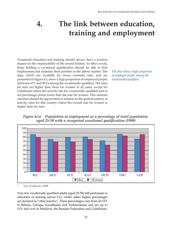### **4. The link between education, training and employment**

Vocational education and training should always have a positive impact on the employability of the award holders. In other words, those holding a vocational qualification should be able to find employment and maintain their position in the labour market. The data, which are available for seven countries only, and are presented in Figure 4.1, show a high proportion of employed people (between 67% and 85%) among the vocationally-qualified. The rates for men are higher than those for women in all cases, except for Uzbekistan where the activity rate for vocationally qualified men is ten percentage points lower than the rate for women. This unusual situation should be appreciated in relation to the general pattern of activity rates for this country where the overall rate for women is higher than for men.

*The data show a high proportion of employed people among the vocationally-qualified.*

*Figure 4.1a Population in employment as a percentage of total population aged 25-59 with a recognised vocational qualification (1999)*



*\* Year of reference 1998.*

Very few vocationally qualified adults (aged 25-59) still participate in education or training (about 1%), whilst rather higher percentages are declared as "other inactive". These percentages vary from 10-12% in Belarus, Georgia, Kazakhstan and Turkmenistan and are up to 15% and over in Moldova, the Russian Federation and Uzbekistan.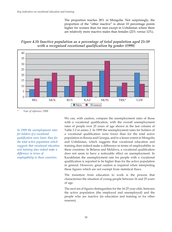The proportion reaches 28% in Mongolia. Not surprisingly, the proportion of the "other inactive" is about 10 percentage points higher for women than for men except in Uzbekistan where there are relatively more inactive males than females (22% versus 12%).

*Figure 4.1b Inactive population as a percentage of total population aged 25-59 with a recognised vocational qualification by gender (1999)*



*\* Year of reference 1998.*

*In 1999 the unemployment rates for holders of a vocational qualification were lower than for the total active population which suggests that vocational education and training does indeed make a difference in terms of employability in these countries.*

We can, with caution, compare the unemployment rates of those with a vocational qualification, with the overall unemployment rates of people over 25 years of age shown in the last column of Table 3.2 in annex 2. In 1999 the unemployment rates for holders of a vocational qualification were lower than for the total active population in Russia and Georgia, and to a lesser extent in Mongolia and Uzbekistan, which suggests that vocational education and training does indeed make a difference in terms of employability in these countries. In Belarus and Moldova, a vocational qualification does not seem to have a noticeable effect on unemployment. In Kazakhstan the unemployment rate for people with a vocational qualification is reported to be higher than for the active population in general. However, great caution is required when interpreting these figures which are not exempt from statistical flaws.

The transition from education to work is the process that characterises the situation of young people between 16 and 25 years of age.

The next set of figures distinguishes for the 16-25 year-olds, between the active population (the employed and unemployed) and the people who are inactive (in education and training or for other reasons).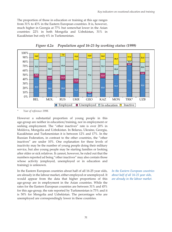The proportion of those in education or training at this age ranges from 31% to 43% in the Eastern European countries. It is, however, much higher in Georgia at 77% but somewhat lower in the Asian countries: 22% in both Mongolia and Uzbekistan, 31% in Kazakhstan but only 6% in Turkmenistan.



*Figure 4.2a Population aged 16-25 by working status (1999)*

*\* Year of reference 1998.*

However a substantial proportion of young people in this age-group are neither in education/training, nor in employment or seeking employment. The "other inactives" rate is over 20% in Moldova, Mongolia and Uzbekistan. In Belarus, Ukraine, Georgia, Kazakhstan and Turkmenistan it is between 12% and 17%. In the Russian Federation, in contrast to the other countries, the "other inactives" are under 10%. One explanation for these levels of inactivity may be the number of young people doing their military service, but also young people may be starting families or looking after older or sick relatives. It cannot, however, be ruled out that the numbers reported ad being "other inactives" may also contain those whose activity (employed, unemployed or in education and training) is unknown.

In the Eastern European countries about half of all 16-25 year olds, are already in the labour market, either employed or unemployed. It would appear from the data that higher proportions of this age-group are in employment in the Asian countries. While the rates for the Eastern European countries are between 31% and 45% for this age-group, the rate reported by Turkmenistan is 73% and it is 50% for Mongolia and Uzbekistan. The percentages who are unemployed are correspondingly lower in these countries.

*In the Eastern European countries about half of all 16-25 year olds, are already in the labour market.*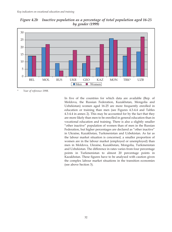

*Figure 4.2b Inactive population as a percentage of total population aged 16-25 by gender (1999)*

*\* Year of reference 1998.*

In five of the countries for which data are available (Rep. of Moldova, the Russian Federation, Kazakhstan, Mongolia and Uzbekistan) women aged 16-25 are more frequently enrolled in education or training than men (see Figures 4.3-4.4 and Tables 4.3-4.4 in annex 2). This may be accounted for by the fact that they are more likely than men to be enrolled in general education than in vocational education and training. There is also a slightly smaller "other inactive" population of women than of men in the Russian Federation, but higher percentages are declared as "other inactive" in Ukraine, Kazakhstan, Turkmenistan and Uzbekistan. As far as the labour market situation is concerned, a smaller proportion of women are in the labour market (employed or unemployed) than men in Moldova, Ukraine, Kazakhstan, Mongolia, Turkmenistan and Uzbekistan. The difference in rates varies from four percentage points in Turkmenistan to almost 20 percentage points in Kazakhstan. These figures have to be analysed with caution given the complex labour market situations in the transition economies (see above Section 3).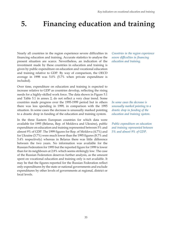# **5. Financing education and training**

Nearly all countries in the region experience severe difficulties in financing education and training. Accurate statistics to analyse the present situation are scarce. Nevertheless, an indication of the investment made by these countries in education and training is given by public expenditure on education and vocational education and training relative to GDP. By way of comparison, the OECD average in 1998 was 5.0% (5.7% when private expenditure is included).

Over time, expenditure on education and training is expected to increase relative to GDP as countries develop, reflecting the rising needs for a highly-skilled work force. The data shown in Figure 5.1 and Table 5.1 in annex 2, do not reflect a very clear trend. Some countries made progress over the 1995-1999 period but in others there was less spending in 1999, in comparison with the 1995 situation. In some cases the decrease is unusually marked pointing to a drastic drop in funding of the education and training system.

In the three Eastern European countries for which data were available for 1995 (Belarus, Rep. of Moldova and Ukraine), public expenditure on education and training represented between 5% and almost 9% of GDP. The 1999 figures for Rep. of Moldova (4.7%) and for Ukraine (3.7%) were much lower than the 1995 figures (8.7% and 5.4% respectively) whereas in Belarus there was little difference between the two years. No information was available for the Russian Federation for 1995 but the reported figure for 1999 is lower than for its neighbours at 2.8% which seems strikingly low. The case of the Russian Federation deserves further analysis, as the amount spent on vocational education and training only is not available. It may be that the figures reported for the Russian Federation reflect only expenditures by the state or national governments and exclude expenditures by other levels of governments at regional, district or local levels.

*Countries in the region experience severe difficulties in financing education and training.*

*In some cases the decrease is unusually marked pointing to a drastic drop in funding of the education and training system.*

*Public expenditure on education and training represented between 5% and almost 9% of GDP.*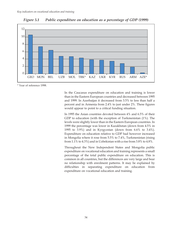

*Figure 5.1 Public expenditure on education as a percentage of GDP (1999)*

*\** Year of reference 1998.

In the Caucasus expenditure on education and training is lower than in the Eastern European countries and decreased between 1995 and 1999. In Azerbaijan it decreased from 3.5% to less than half a percent and in Armenia from 2.4% to just under 2%. These figures would appear to point to a critical funding situation.

In 1995 the Asian countries devoted between 4% and 6.5% of their GDP to education (with the exception of Turkmenistan (1%). The levels were slightly lower than in the Eastern European countries. In 1999 the percentage was lower in Kazakhstan (down from 4.5% in 1995 to 3.9%) and in Kyrgyzstan (down from 6.6% to 3.4%). Expenditure on education relative to GDP had however increased in Mongolia where it rose from 5.5% to 7.4%, Turkmenistan (rising from 1.1% to 4.3%) and in Uzbekistan with a rise from 3.8% to 4.8%.

Throughout the New Independent States and Mongolia public expenditure on vocational education and training represents a small percentage of the total public expenditure on education. This is common in all countries, but the differences are very large and bear no relationship with enrolment patterns. It may be explained by difficulties in separating expenditure on education from expenditure on vocational education and training.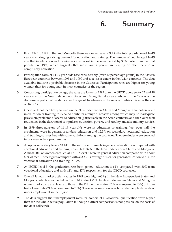

- 1. From 1995 to 1999 in the and Mongolia there was an increase of 9% in the total population of 14-19 year-olds bringing a rising demand for education and training. The number of people aged 14-19 enrolled in education and training also increased in the same period by 35%, faster than the total population (+9%) which suggests that more young people are staying on after the end of compulsory education.
- 2. Participation rates of 14-19 year olds rose considerably (over 20 percentage points) in the Eastern European countries between 1995 and 1999 and to a lesser extent in the Asian countries. The data available indicate a probable decrease in the Caucasus. Participation rates are higher for young women than for young men in most countries of the region.
- 3. Concerning participation by age, the rates are lower in 1999 than the OECD average for 17 and 18 year-olds for the New Independent States and Mongolia taken as a whole. In the Caucasus the decrease in participation starts after the age of 14 whereas in the Asian countries it is after the age of 16 or 17.
- 4. One-quarter of the 14-19 year-olds in the New Independent States and Mongolia were not enrolled in education or training in 1999, no doubt for a range of reasons among which may be inadequate provision, problems of access to education (particularly in the Asian countries and the Caucasus); reductions in the duration of compulsory education; poverty and rurality and also military service.
- 5. In 1999 three-quarters of 14-19 year-olds were in education or training. Just over half the enrolments were in general secondary education and 12.5% on secondary vocational education and training courses but with some variations among the countries. The remainder were enrolled in post-secondary programmes.
- 6. At upper secondary level (ISCED 3) the ratio of enrolments in general education as compared with vocational education and training was 63% to 37% in the New Independent States and Mongolia. Almost 70% of women enrolled at ISCED level 3 were in general education compared with about 60% of men. These figures compare with an OECD average of 49% for general education to 51% for vocational education and training in 1999.
- 7. At ISCED level 3, the graduation rate from general education is 61% compared with 30% from vocational education, and with 42% and 47% respectively for the OECD countries.
- 8. Overall labour market activity rates in 1999 were high (66%) in the New Independent States and Mongolia, which is not far below the EU-15 rate of 71%. In New Independent States and Mongolia women had a comparable rate to those in the EU member states (61% as compared to 63%) but men had a lower rate (71% as compared to 79%). These rates may however hide relatively high levels of under employment in the region.
- 9. The data suggest that unemployment rates for holders of a vocational qualification were higher than for the whole active population (although a direct comparison is not possible on the basis of the data collected).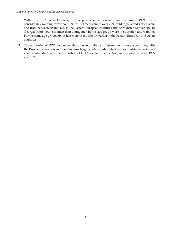- 10. Within the 16-25 year-old age group the proportion in education and training in 1999 varied considerably ranging from about 6% in Turkmenistan, to over 20% in Mongolia and Uzbekistan, and from between 30 and 40% in the Eastern European countries and Kazakhstan to over 70% in Georgia. More young women than young men in this age-group were in education and training. For the same age-group, about half were in the labour market in the Eastern European and Asian countries.
- 11. The proportion of GDP devoted to education and training differs markedly among countries, with the Russian Federation and the Caucasus lagging behind. About half of the countries experienced a substantial decline in the proportion of GDP devoted to education and training between 1995 and 1999.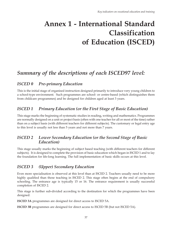# **Annex 1 - International Standard Classification of Education (ISCED)**

# *Summary of the descriptions of each ISCED97 level:*

## *ISCED 0 Pre-primary Education*

This is the initial stage of organised instruction designed primarily to introduce very young children to a school-type environment. Such programmes are school- or centre-based (which distinguishes them from childcare programmes) and be designed for children aged at least 3 years.

## *ISCED 1 Primary Education (or the First Stage of Basic Education)*

This stage marks the beginning of systematic studies in reading, writing and mathematics. Programmes are normally designed on a unit or project basis (often with one teacher for all or most of the time) rather than on a subject basis (with different teachers for different subjects). The customary or legal entry age to this level is usually not less than 5 years and not more than 7 years.

## *ISCED 2 Lower Secondary Education (or the Second Stage of Basic Education)*

This stage usually marks the beginning of subject based teaching (with different teachers for different subjects). It is designed to complete the provision of basic education which began in ISCED 1 and to lay the foundation for life-long learning. The full implementation of basic skills occurs at this level.

# *ISCED 3 (Upper) Secondary Education*

Even more specialisation is observed at this level than at ISCED 2. Teachers usually need to be more highly qualified than those teaching in ISCED 2. This stage often begins at the end of compulsory schooling. The entrance age is typically 15 or 16. The entrance requirement is usually successful completion of ISCED 2.

This stage is further sub-divided according to the destination for which the programmes have been designed:

**ISCED 3A** programmes are designed for direct access to ISCED 5A.

**ISCED 3B** programmes are designed for direct access to ISCED 5B (but not ISCED 5A).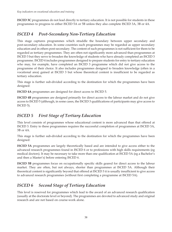**ISCED 3C** programmes do not lead directly to tertiary education. It is not possible for students in these programmes to progress to either ISCED 5A or 5B unless they also complete ISCED 3A, 3B or 4A.

# *ISCED 4 Post-Secondary Non-Tertiary Education*

This stage captures programmes which straddle the boundary between upper secondary and post-secondary education. In some countries such programmes may be regarded as upper secondary education and in others post-secondary. The content of such programmes is not sufficient for them to be regarded as tertiary programmes. They are often not significantly more advanced than programmes at ISCED 3 but they serve to broaden the knowledge of students who have already completed an ISCED 3 programme. ISCED 4 includes programmes designed to prepare students for entry to tertiary education who may, for example, have completed an ISCED 3 programme which did not give access to the programme of their choice. It also includes programmes designed to broaden knowledge (often in a vocational area) gained at ISCED 3 but whose theoretical content is insufficient to be regarded as tertiary education.

This stage is further sub-divided according to the destination for which the programmes have been designed:

**ISCED 4A** programmes are designed for direct access to ISCED 5.

**ISCED 4B** programmes are designed primarily for direct access to the labour market and do not give access to ISCED 5 (although, in some cases, the ISCED 3 qualifications of participants may give access to ISCED 5).

## *ISCED 5 First Stage of Tertiary Education*

This level consists of programmes whose educational content is more advanced than that offered at ISCED 3. Entry to these programmes requires the successful completion of programmes at ISCED 3A, 3B or 4A.

This stage is further sub-divided according to the destination for which the programmes have been designed:

**ISCED 5A** programmes are largely theoretically based and are intended to give access either to the advanced research programmes found in ISCED 6 or to professions with high skills requirements (eg medical doctors). It may be necessary to take more than one qualification at ISCED 5A (eg a Bachelor's and then a Master's) before entering ISCED 6.

**ISCED 5B** programmes focus on occupationally specific skills geared for direct access to the labour market. They are often, but not always, shorter than programmes at ISCED 5A. Although their theoretical content is significantly beyond that offered at ISCED 3 it is usually insufficient to give access to advanced research programmes (without first completing a programme at ISCED 5A).

# *ISCED 6 Second Stage of Tertiary Education*

This level is reserved for programmes which lead to the award of an advanced research qualification (usually at the doctorate level or beyond). The programmes are devoted to advanced study and original research and are not based on course-work alone.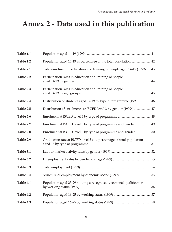# **Annex 2 - Data used in this publication**

| Table 1.1 |                                                                          |
|-----------|--------------------------------------------------------------------------|
| Table 1.2 | Population aged 14-19 as percentage of the total population 42           |
| Table 2.1 | Total enrolment in education and training of people aged 14-19 (1999) 43 |
| Table 2.2 | Participation rates in education and training of people                  |
| Table 2.3 | Participation rates in education and training of people                  |
| Table 2.4 | Distribution of students aged 14-19 by type of programme (1999)46        |
| Table 2.5 | Distribution of enrolments at ISCED level 3 by gender (1999*)47          |
| Table 2.6 |                                                                          |
| Table 2.7 | Enrolment at ISCED level 3 by type of programme and gender 49            |
| Table 2.8 | Enrolment at ISCED level 3 by type of programme and gender 50            |
| Table 2.9 | Graduation rate at ISCED level 3 as a percentage of total population     |
| Table 3.1 |                                                                          |
| Table 3.2 |                                                                          |
| Table 3.3 |                                                                          |
| Table 3.4 |                                                                          |
| Table 4.1 | Population aged 25-29 holding a recognised vocational qualification      |
| Table 4.2 |                                                                          |
| Table 4.3 |                                                                          |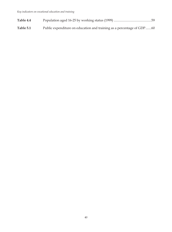- **Table 4.4** Population aged 16-25 by working status (1999) .............................................59
- **Table 5.1** Public expenditure on education and training as a percentage of GDP.......60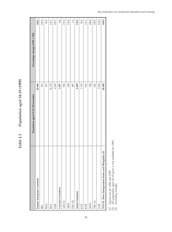Table 1.1 Population aged 14-19 (1999) *Table 1.1 Population aged 14-19 (1999)*

|                                                                        | Population aged 14-19 (Thousands) | Percentage change (1995 = 100) |
|------------------------------------------------------------------------|-----------------------------------|--------------------------------|
| Eastern European Countries                                             | 20.049                            | 108.2                          |
| <b>BEL</b>                                                             | 973                               | 107.0                          |
| <b>NOL</b>                                                             | 377                               | 99.5                           |
| <b>RUS</b>                                                             | 14.170                            | 110.1                          |
| UKR                                                                    | 4.529                             | 103.7                          |
| Caucasus Countries                                                     | 1.857                             | n.a                            |
| AZE(1)                                                                 | 926                               | 113.2                          |
| <b>ARM</b>                                                             | 444                               | 110.4                          |
| GEO <sub>(2)</sub>                                                     | 487                               | n.a                            |
| <b>Asian Countries</b>                                                 | 6.499                             | 112.1                          |
| KAZ                                                                    | 1.710                             | 96.5                           |
| <b>KYR</b>                                                             | 610                               | 111.7                          |
| <b>NON</b>                                                             | 324                               | 188.4                          |
| TRK(1)                                                                 | 601                               | 108.5                          |
| UZB                                                                    | 3.254                             | 118.2                          |
| $\widehat{\mathcal{E}}$<br>TOTAL (New Independent States and Mongolia) | 28.405                            | 109.3                          |

*(1) Figures are for 1995 and 1998.*

Figures are for 1995 and 1998.<br>The population aged 14-19 years is not available for 1995.<br>Excluding Georgia. *(2) The population aged 14-19 years is not available for 1995. (3) Excluding Georgia.*  $\widehat{\theta}$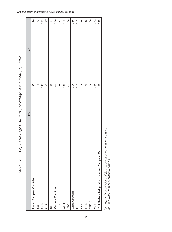|                                                                         | 1995     | 1999     |
|-------------------------------------------------------------------------|----------|----------|
| Eastern European Countries                                              | 8.7      | 9.6      |
| <b>BEL</b>                                                              | 8.8      | 9.7      |
| <b>NOL</b>                                                              | $10.3\,$ | $10.3\,$ |
| <b>RUS</b>                                                              | 8.7      | 9.7      |
| UKR                                                                     | 8.5      | 9.1      |
| Caucasus Countries                                                      | n.a      | 11.6     |
| $AZE(1)$                                                                | 10.9     | 12.2     |
| <b>ARM</b>                                                              | $10.7\,$ | $11.7\,$ |
| GEO                                                                     | n.a      | $10.6\,$ |
| <b>Asian Countries</b>                                                  | $11.6$   | 12.6     |
| KAZ                                                                     | $11.1\,$ | 11.5     |
| <b>KYR</b>                                                              | 11.9     | 12.6     |
| <b>MON</b>                                                              | 7.7      | 13.6     |
| TRK(1)                                                                  | 12.6     | 12.6     |
| UZB                                                                     | $12.0$   | 13.2     |
| $\widehat{\mathfrak{a}}$<br>TOTAL (New Independent States and Mongolia) | 9.3      | 10.3     |

Population aged 14-19 as percentage of the total population *Table 1.2 Population aged 14-19 as percentage of the total population* Table 1.2

Figures for Azerbaijan and for Turkmenistan are for 1995 and 1997.<br>The figure for 1995 is excluding Georgia. (1) Figures for Azerbaijan and for Turkmenistan are for 1995 and 1997. *(2) The figure for 1995 is excluding Georgia.*  $\widehat{\epsilon}$ 

*Key indicators on vocational education and training*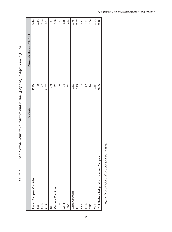| 00 L/ 01-1                                                                                                     |
|----------------------------------------------------------------------------------------------------------------|
| <b>クソファ コン コース</b>                                                                                             |
| $\mathbf{C}$                                                                                                   |
| eaucation and training of people agea                                                                          |
|                                                                                                                |
|                                                                                                                |
|                                                                                                                |
|                                                                                                                |
|                                                                                                                |
|                                                                                                                |
|                                                                                                                |
| $0$ $\int$ $\alpha$ $\mu$ $\alpha$ $\int$ $\alpha$ $\mu$ $\alpha$ $\mu$ $\alpha$ $\mu$ $\alpha$ $\mu$ $\alpha$ |
|                                                                                                                |
| $\begin{array}{c} \end{array}$                                                                                 |
| $T_{\alpha} L I_{\alpha}$<br>$\overline{\phantom{a}}$                                                          |

|                                             | Thousands | Percentage change (1995 = 100) |
|---------------------------------------------|-----------|--------------------------------|
| Eastern European Countries                  | 15.986    | 144.4                          |
| <b>BEL</b>                                  | 769       | 122.4                          |
| NOL                                         | 252       | 116.4                          |
| RUS                                         | 11.577    | 157.2                          |
| <b>UKR</b>                                  | 3.388     | 118.4                          |
| Caucasus Countries                          | 979       | 91.8                           |
| $AZE^*$                                     | 485       | 77.3                           |
| <b>ARM</b>                                  | 242       | 124.8                          |
| GEO                                         | 252       | 102.9                          |
| Asian Countries                             | 3.851     | 117.5                          |
| KAZ                                         | 1.190     | 127.7                          |
| <b>KYR</b>                                  | 404       | 142.1                          |
| <b>MON</b>                                  | 159       | 119.1                          |
| TRK*                                        | 244       | 92.6                           |
| <b>UZB</b>                                  | 1.854     | 111.4                          |
| TOTAL (New Independent States and Mongolia) | 20.816    | 135.0                          |
|                                             |           |                                |

Figures for Azerbaijan and Turkmenistan are for 1998. *\* Figures for Azerbaijan and Turkmenistan are for 1998.*

 $\star$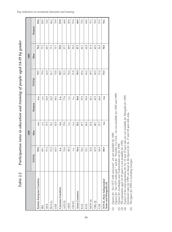|                                                    |       | 1995 |       |              | 1999 |       |
|----------------------------------------------------|-------|------|-------|--------------|------|-------|
|                                                    | TOTAL | Men  | Women | <b>TOTAL</b> | Men  | Women |
| Eastern European Countries                         | 59.8  | n.a. | n.a.  | 79.7         | 76.2 | 83.4  |
| <b>BEL</b>                                         | 69.1  | n.a. | n.a.  | 79.0         | 77.2 | 80.9  |
| <b>NOL</b>                                         | 57.2  | 57.5 | 56.9  | 66.9         | 60.7 | 74.2  |
| RUS(1)                                             | 57.2  | 52.1 | 62.5  | 81.7         | 77.3 | 86.2  |
| UKR                                                | 65.5  | 63.0 | 68.1  | 74.8         | 73.7 | 75.9  |
| Caucasus Countries                                 | n.a.  | n.a. | n.a.  | 52.7         | 53.6 | 51.8  |
| AZE(2)                                             | 76.8  | 75.9 | 77.6  | 52.3         | 57.7 | 46.8  |
| <b>ARM</b>                                         | 48.2  | n.a. | n.a.  | 54.4         | 48.8 | 60.4  |
| GEO <sub>(3)</sub>                                 | n.a.  | n.a. | n.a.  | 51.8         | 50.2 | 53.4  |
| Asian Countries                                    | 54.4  | 52.1 | 56.8  | 59.3         | 57.7 | 60.9  |
| KAZ                                                | 52.6  | 47.7 | 57.6  | 69.6         | 66.7 | 72.5  |
| <b>KYR</b>                                         | 52.1  | 49.4 | 54.9  | 66.2         | 62.8 | 69.6  |
| MON(4)                                             | 32.0  | 23.4 | 40.1  | 49.5         | 41.9 | 57.3  |
| $TRK(2)$                                           | 47.0  | 48.7 | 45.2  | 40.5         | 42.0 | 39.0  |
| UZB                                                | 58.8  | 57.7 | 60.0  | 57.0         | 56.5 | 57.5  |
| TOTAL (New Independent<br>States and Mongolia) (5) | 58.9  | n.a  | n.a   | 73.3         | 70.5 | 76.1  |

Participation rates in education and training of people aged 14-19 by gender Table 2.2 Participation rates in education and training of people aged 14-19 by gender Table 2.2

Figures for "Sec.VET with mat.exam" are not available for 1995. *(1) Figures for "Sec.VET with mat.exam" are not available for 1995.*  $\bigcirc$ 

Figures for "Sec.VET with qual." and for "Post/Sec.Voc.Tech." are not available for 1995 and 1999.

*(2) Figures for Azerbaijan and Turkmenistan are for 1998.*

1 igures Jou Sec. v L1 with numericant are not numerized by 12001.<br>Figures for "Sec. VET with qual." and for "Post/Sec. Voc.Tech." are not available for 1995 and 1999.<br>Figures for Azerbaijan and Turkmenistan are for 1998.<br> (4) Figures of the total population for 14, 15 and 19 year-olds are not available for Mongolia for 1995. Enrolment rates for 1995 are based on the figures for 16, 17 and 18 year-olds only. *(3) The population aged 14-19 years is not available for 1995.*  $\Omega \odot \theta$ 

*(5) The figure for 1995 is excluding Georgia.*  $\odot$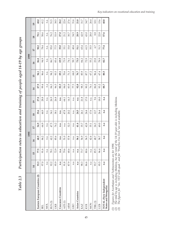| rarticipation rates in education and training of people aged 14-19 by age gron- |
|---------------------------------------------------------------------------------|
|                                                                                 |
|                                                                                 |
|                                                                                 |
|                                                                                 |
|                                                                                 |
|                                                                                 |
| コニュ<br>$T_0 l_1 l_2$                                                            |

|                                                |      |      | 1995 |      |      |      |      |      | 1999 |      |      |      |
|------------------------------------------------|------|------|------|------|------|------|------|------|------|------|------|------|
|                                                | 14   | 15   | 16   | 17   | 18   | 19   | 14   | 15   | 16   | 17   | 18   | 19   |
| Eastern European Countries (2)                 | 93.3 | 77.5 | 68.9 | 54.9 | 35.6 | 27.0 | 87.9 | 94.1 | 86.8 | 90.2 | 70.1 | 48.0 |
| <b>BEL</b>                                     | 97.0 | 91.6 | 84.2 | 64.9 | 44.9 | 28.8 | 99.4 | 96.6 | 94.9 | 78.4 | 58.6 | 41.2 |
| <b>NOL</b>                                     | n.a  | n.a. | n.a. | n.a. | n.a. | n.a. | n.a  | n.a. | n.a. | n.a. | n.a. | n.a. |
| RUS <sub>(3)</sub>                             | 92.2 | 78.1 | 62.2 | 47.5 | 34.1 | 26.9 | 84.3 | 94.2 | 86.7 | 95.0 | 76.2 | 51.5 |
| UKR                                            | 95.9 | 72.9 | 85.6 | 74.2 | 38.1 | 26.8 | 96.5 | 93.5 | 85.4 | 77.5 | 53.9 | 38.5 |
| Caucasus Countries                             | n.a  | n.a. | n.a. | n.a. | n.a. | n.a. | 82.3 | 69.1 | 69.9 | 35.0 | 27.0 | 26.2 |
| AZE(1)                                         | 91.8 | 79.6 | 51.0 | n.a. | 47.8 | 64.1 | 84.0 | 70.6 | 73.9 | 33.1 | 21.2 | 22.4 |
| <b>ARM</b>                                     | 87.9 | 68.6 | 57.8 | 32.3 | 20.2 | 14.3 | 83.9 | 71.3 | 74.1 | 33.0 | 30.7 | 27.6 |
| GEO                                            | n.a  | n.a. | n.a. | n.a. | n.a. | n.a. | 77.3 | 64.0 | 58.7 | 40.4 | 34.5 | 31.6 |
| <b>Asian Countries</b>                         | n.a  | n.a. | 56.1 | 41.4 | 24.5 | n.a. | 92.8 | 76.7 | 73.5 | 51.1 | 28.9 | 21.8 |
| KAZ                                            | 98.3 | 73.7 | 56.9 | 35.7 | 26.1 | 21.8 | 98.3 | 85.9 | 84.2 | 65.4 | 42.9 | 31.7 |
| <b>KYR</b>                                     | 86.6 | 80.6 | 56.5 | 42.8 | 24.4 | 17.0 | 90.2 | 87.7 | 72.9 | 61.5 | 43.0 | 34.7 |
| <b>MON</b>                                     | n.a  | n.a. | 42.4 | 35.1 | 17.6 | n.a. | 76.1 | 67.2 | 55.2 | 35.5 | 28.0 | 26.4 |
| TRK(1)                                         | 93.7 | 85.5 | 48.7 | 24.3 | 12.7 | 9.6  | 86.8 | 96.4 | 23.8 | 6.7  | 8.8  | 10.1 |
| <b>UZB</b>                                     | 95.5 | 96.4 | 58.7 | 49.0 | 26.4 | 18.0 | 93.2 | 67.4 | 78.9 | 51.3 | 22.8 | 15.6 |
| TOTAL (New Independent<br>States and Mongolia) | n.a  | n.a  | n.a  | n.a  | n.a  | n.a  | 88.7 | 88.5 | 82.7 | 77.4 | 57.6 | 40.8 |

*(1) Figures for Azerbaijan and Turkmenistan are for 1998.*

Figures for Azerbaijan and Turkmenistan are for 1998.<br>The total by age is excluding Moldova, but the total of the 14-19 year-olds is including Moldova.<br>The figures for "Sec. VET with qual." and for "Post/Sec.Voc.Tech."are (2) The total by age is excluding Moldova, but the total of the 14-19 year-olds is including Moldova. (3) The figures for "Sec. VET with qual." and for "Post/Sec.Voc.Tech."are not available.  $\partial \overline{\partial} \overline{\partial}$ 

*Key indicators on vocational education and training*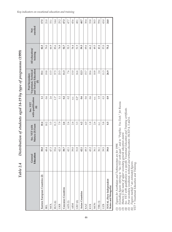|                                                        | Education<br>General | Matura (3) Exam<br>Sec. VET with | with qualification<br>Sec. VET<br>$\overline{4}$ | and Tertiary Education<br>Vocational, Technical<br>Post Secondary<br>$\overline{5}$ | All education<br>training | Not<br>enrolled |
|--------------------------------------------------------|----------------------|----------------------------------|--------------------------------------------------|-------------------------------------------------------------------------------------|---------------------------|-----------------|
| Eastern European Countries (2)                         | 38.0                 | 10.4                             | 11                                               | 33.1                                                                                | 82.5                      | 17.5            |
| <b>BEL</b>                                             | 48.4                 | 10.2                             | 0.6                                              | 19.8                                                                                | 79.0                      | 21.0            |
| <b>NOL</b>                                             | 47.3                 | 3.5                              | 2.6                                              | 13.5                                                                                | 66.9                      | 33.1            |
| RUS <sub>(6)</sub>                                     | 35.6                 | 11.3                             | $1.1*$                                           | 37.5                                                                                | 85.6                      | 14.4            |
| <b>UKR</b>                                             | 42.3                 | 7.9                              | $\Xi$                                            | 23.5                                                                                | 74.8                      | 25.2            |
| Caucasus Countries                                     | 38.7                 | 2.6                              | 0.2                                              | 11.3                                                                                | 52.7                      | 47.3            |
| AZE(1)                                                 | 42.1                 | 2.4                              | 0.2                                              | 7.6                                                                                 | 52.3                      | 47.7            |
| <b>ARM</b>                                             | 39.0                 | 2.4                              | n.r.                                             | 13.0                                                                                | 54.4                      | 45.6            |
| GEO <sub>(6)</sub>                                     | 31.8                 | 3.3                              | $0.2*$                                           | 16.6                                                                                | 51.9                      | 48.1            |
| <b>Asian Countries</b>                                 | 42.1                 | 4.2                              | 0.6                                              | 12.3                                                                                | 59.3                      | 40.7            |
| KAZ                                                    | 49.3                 | 4.0                              | 0.6                                              | 15.7                                                                                | 69.6                      | 30.4            |
| <b>KYR</b>                                             | 45.2                 | 1.8                              | 0.6                                              | 18.6                                                                                | 66.2                      | 33.8            |
| <b>MON</b>                                             | 36.1                 | 2.6                              | n.r.                                             | 10.8                                                                                | 49.5                      | 50.5            |
| $TRK(1)$                                               | 36.1                 | n.r.                             | 1.9                                              | 2.4                                                                                 | 40.4                      | 59.6            |
| UZB                                                    | 39.5                 | 5.8                              | 0.3                                              | 11.3                                                                                | 57.0                      | 43.0            |
| TOTAL (New Independent<br><b>States and Mongolia</b> ) | 39.0                 | 8.5                              | 0.9                                              | 26.9                                                                                | 75.2                      | 24.8            |

Distribution of students aged 14-19 by type of programme (1999) Table 2.4 Distribution of students aged 14-19 by type of programme (1999) Table 2.4

*(1) Figures for Azerbaijan and Turkmenistan are for 1998.*

Figures for Azerbaijan and Turkmenistan are for 1998.<br>Excluding figures refering to "Sec.VET with qual." and to "Post/Sec. Voc.Tech." for Russia.<br>Matura is the name of upper secondary general education award.<br>Sec. VET with 2) Excluding figures refering to "Sec.VET with qual." and to "Post/Sec. Voc.Tech." for Russia.

*(3) Matura is the name of upper secondary general education award.* (1) Figures for Azerbaijan and Turkmenistan a<br>
(2) Excluding figures refering to "Sec.VET win<br>
(3) Matura is the name of upper secondary gereal<br>
(4) Sec. VET with qualification is a specific V<br>
(5) Post secondary vocation

(4) Sec. VET with qualification is a specific Vocational Education and Training certificate.

(5) Post secondary vocational, technical and tertiary education: ISCED 4, 5 and 6.

*(6) Figures marked \* are estimated figures.*

*VET = Vocational Education and Training.*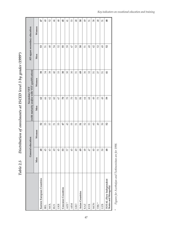|                                                        | General education |                 | (with maturity and/or with VET qualification)<br>Secondary VET |                   | All upper secondary education |                 |
|--------------------------------------------------------|-------------------|-----------------|----------------------------------------------------------------|-------------------|-------------------------------|-----------------|
|                                                        | Men               | Women           | Men                                                            | Women             | Men                           | Women           |
| Eastern European Countries                             | 48                | 52              | 62                                                             | 38                | 53                            | 47              |
| <b>BEL</b>                                             | 45                | 55              | 66                                                             | 34                | 51                            | 49              |
| <b>NOL</b>                                             | 43                | 57              | 62                                                             | 38                | 48                            | 52              |
| <b>RUS</b>                                             | 49                | 51              | 60                                                             | 40                | R,                            | 46              |
| UKR                                                    | 45                | 55              | 67                                                             | 33                | 52                            | 48              |
| Caucasus Countries                                     | 53                | 47              | $\mathbb{R}$                                                   | $\boldsymbol{30}$ | 55                            | 45              |
| $AZE*$                                                 | 57                | $\overline{43}$ | $\gtrsim$                                                      | $\mathcal{E}$     | 59                            | $\overline{41}$ |
| <b>ARM</b>                                             | 45                | 55              | $\overline{C}$                                                 | $30\,$            | 47                            | 53              |
| GEO                                                    | $\overline{6}$    | 51              | 69                                                             | 51                | 52                            | 48              |
| <b>Asian Countries</b>                                 | 49                | 51              | 51                                                             | 49                | 50                            | 50              |
| KAZ                                                    | 48                | 52              | 64                                                             | 36                | 51                            | 49              |
| KYR                                                    | 47                | S3              | 68                                                             | 32                | $\overline{\Theta}$           | 51              |
| <b>MON</b>                                             | $\sqrt{4}$        | $\odot$         | 49                                                             | 51                | $\overline{4}$                | 58              |
| TRK <sup>*</sup>                                       | 51                | $\overline{6}$  | $\mathbb{Z}$                                                   | 27                | 52                            | 48              |
| <b>UZB</b>                                             | 50                | 50              | 49                                                             | 51                | 49                            | 51              |
| TOTAL (New Independent<br><b>States and Mongolia</b> ) | 48                | 52              | 59                                                             | $\overline{4}$    | 52                            | 48              |

Distribution of enrolments at ISCED level 3 by gender (1999\*) Table 2.5 Distribution of enrolments at ISCED level 3 by gender (1999\*) Table 2.5

Figures for Azerbaijan and Turkmenistan are for 1998. *\* Figures for Azerbaijan and Turkmenistan are for 1998.*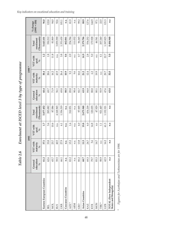Enrolment at ISCED level 3 by type of programme *Table 2.6 Enrolment at ISCED level 3 by type of programme* Table 2.6

|                                                        |                                    |                                    | 1995                             |                                   |                           | 1999 *                    |                                 |                                   |                               |
|--------------------------------------------------------|------------------------------------|------------------------------------|----------------------------------|-----------------------------------|---------------------------|---------------------------|---------------------------------|-----------------------------------|-------------------------------|
|                                                        | education<br>General<br>$\sqrt{6}$ | VET with<br>maturity<br>$\sqrt{6}$ | VET with<br>qual.<br>$0\sqrt{0}$ | (Thousands)<br>enrolment<br>Total | education<br>General<br>℅ | VET with<br>maturity<br>℅ | VET with<br>qual.<br>$\sqrt{6}$ | (Thousands)<br>enrolment<br>Total | $(1995 = 100)$<br>$\%$ change |
| Eastern European Countries                             | 61.2                               | 37.1                               | 1.7                              | 5.877.452                         | 60.4                      | 38.4                      | 1.2                             | 5.643.101                         | 96.0                          |
| <b>BEL</b>                                             | 62.6                               | 33.8                               | 3.6                              | 285.082                           | 69.7                      | 28.6                      | 1.8                             | 350.212                           | 122.8                         |
| <b>NOL</b>                                             | 65.7                               | 23.7                               | 10.6                             | 87.086                            | 71.9                      | 16.2                      | 11.8                            | 81.869                            | 94.0                          |
| <b>RUS</b>                                             | 59.5                               | 40.5                               | n.a.                             | 4.168.965                         | 56.1                      | 43.9                      | n.a.                            | 3.859.390                         | 92.6                          |
| UKR                                                    | 66.1                               | 27.9                               | 6.1                              | 1.336.319                         | 69.8                      | 26.4                      | 3.8                             | 1.351.630                         | 101.1                         |
| Caucasus Countries                                     | n.a.                               | n.a.                               | n.a.                             | n.a.                              | 88.5                      | 10.9                      | 0.6                             | 462.061                           | n.a.                          |
| AZE*                                                   | 83.2                               | 15.2                               | 1.6                              | 310.931                           | 89.8                      | 9.2                       | 0.9                             | 254.784                           | 81.9                          |
| <b>ARM</b>                                             | n.a.                               | n.a.                               | n.a.                             | n.a.                              | 90.4                      | 9.6                       | n.r.                            | 111.032                           | n.a.                          |
| GEO                                                    | 80.2                               | 13.8                               | 6.0                              | 97.005                            | 82.7                      | 16.6                      | 0.7                             | 96.245                            | 99.2                          |
| Asian Countries                                        | 68.7                               | 11.5                               | 19.8                             | 2.675.948                         | 63.9                      | 21.2                      | 14.9                            | 2.379.786                         | 88.9                          |
| KAZ                                                    | 69.3                               | 24.7                               | 6.0                              | 434.218                           | 84.8                      | 12.4                      | 2.8                             | 554.252                           | 127.6                         |
| <b>KYR</b>                                             | 79.7                               | 5.6                                | 14.8                             | 120.035                           | 88.8                      | 6.2                       | 5.0                             | 173.928                           | 144.9                         |
| <b>MON</b>                                             | 83.3                               | 16.7                               | hľ                               | 47.929                            | 80.1                      | 19.9                      | n.r.                            | 46.541                            | 97.1                          |
| <b>TRK*</b>                                            | 98.9                               | n.r.                               | $\Box$                           | 921.445                           | 93.9                      | n.r.                      | 6.1                             | 207.240                           | 22.5                          |
| <b>JZB</b>                                             | 42.5                               | 16.2                               | 41.3                             | 1.152.321                         | 47.6                      | 29.7                      | 22.7                            | 1.397.825                         | 121.3                         |
| TOTAL (New Independent<br><b>States and Mongolia</b> ) | n.a                                | n.a                                | n.a                              | n.a                               | 63.0                      | 32.0                      | 5.0                             | 8.484.948                         | n.a                           |

Figures for Azerbaijan and Turkmenistan are for 1998. *\* Figures for Azerbaijan and Turkmenistan are for 1998.*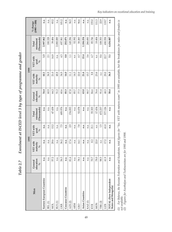Enrolment at ISCED level 3 by type of programme and gender Table 2.7 Enrolment at ISCED level 3 by type of programme and gender Table 2.7

|                                                                                                                                                                                                                                                     |                                    | 1995                               |                        |                                   |                                    | 1999                               |                                 |                                      |                            |
|-----------------------------------------------------------------------------------------------------------------------------------------------------------------------------------------------------------------------------------------------------|------------------------------------|------------------------------------|------------------------|-----------------------------------|------------------------------------|------------------------------------|---------------------------------|--------------------------------------|----------------------------|
| Men                                                                                                                                                                                                                                                 | education<br>General<br>$\sqrt{6}$ | VET with<br>maturity<br>$\sqrt{6}$ | VET with<br>qual.<br>% | (Thousands)<br>enrolment<br>Total | education<br>General<br>$\sqrt{6}$ | VET with<br>maturity<br>$\sqrt{6}$ | VET with<br>qual.<br>$\delta/6$ | (Thomas and s)<br>enrolment<br>Total | $(1995 = 100)$<br>% change |
| Eastern European Countries                                                                                                                                                                                                                          | n.a.                               | n.a.                               | n.a.                   | n.a.                              | 54.4                               | 44.1                               | 1.5                             | 2.997.862                            | n.a.                       |
| BEL (1)                                                                                                                                                                                                                                             | n.a.                               | n.a.                               | n.a.                   | n.a.                              | 60.9                               | 36.9                               | 2.1                             | 180.328                              | n.a.                       |
| <b>NOL</b>                                                                                                                                                                                                                                          | 57.2                               | 29.6                               | 13.2                   | 47.438                            | 64.2                               | 21.0                               | 14.8                            | 39.484                               | 83.2                       |
| RUS(1)                                                                                                                                                                                                                                              | n.a.                               | n.a.                               | n.a.                   | n.a.                              | 51.2                               | 48.8                               | n.a.                            | 2.080.089                            | n.a.                       |
| UKR                                                                                                                                                                                                                                                 | 56.3                               | 36.2                               | 7.5                    | 689.976                           | 60.6                               | 34.9                               | 4.5                             | 697.961                              | 101.2                      |
| Caucasus Countries                                                                                                                                                                                                                                  | n.a.                               | n.a.                               | n.a.                   | n.a.                              | 85.3                               | 14.0                               | 0.8                             | 252.071                              | n.a.                       |
| AZE <sub>(2)</sub>                                                                                                                                                                                                                                  | 81.6                               | 17.4                               | 0.9                    | 154.893                           | 87.8                               | 111                                | 1.1                             | 149.396                              | 96.5                       |
| <b>ARM</b>                                                                                                                                                                                                                                          | n.a.                               | n.a.                               | n.a.                   | n.a.                              | 85.7                               | 14.3                               | n.r.                            | 52.392                               | n.a.                       |
| GEO                                                                                                                                                                                                                                                 | 78.1                               | 14.1                               | 7.8                    | 52.078                            | 77.3                               | 22.0                               | 0.7                             | 50.283                               | 96.6                       |
| Asian Countries                                                                                                                                                                                                                                     | n.a.                               | n.a.                               | n.a.                   | n.a.                              | 63.0                               | 21.6                               | 15.4                            | 1.184.154                            | n.a.                       |
| KAZ(1)                                                                                                                                                                                                                                              | n.a.                               | n.a.                               | n.a.                   | n.a.                              | 80.7                               | 15.7                               | 3.6                             | 280.093                              | n.a.                       |
| <b>KYR</b>                                                                                                                                                                                                                                          | 70.7                               | 8.2                                | 21.1                   | 55,303                            | 84.6                               | 8.8                                | 6.7                             | 85.746                               | 155.0                      |
| <b>MON</b>                                                                                                                                                                                                                                          | 78.0                               | 22.0                               | n.r.                   | 17.434                            | 76.4                               | 23.6                               | n.r.                            | 19.404                               | 111.3                      |
| TRK (2)                                                                                                                                                                                                                                             | 98.5                               | n.r.                               | 1.5                    | 472.237                           | 91.4                               | n.r.                               | 8.6                             | 108.353                              | 22.9                       |
| UZB                                                                                                                                                                                                                                                 | 41.9                               | 17.2                               | 41.0                   | 577.126                           | 48.3                               | 29.0                               | 22.7                            | 690.558                              | 119.7                      |
| TOTAL (New Independent<br><b>States and Mongolia</b> )                                                                                                                                                                                              | n.a.                               | n.a.                               | n.a.                   | n.a.                              | 58.4                               | 36.5                               | 5.1                             | 4.434.087                            | n.a.                       |
| (1) For Belarus, the Russian Federation and Kazakstan, total figures for "Sec. VET with matura exani" in 1995 are available, but the breakdown for males and females is<br>Figures for Azerbaijan and Turkmenistan are<br>not available.<br>$\odot$ |                                    | for 1995 and 1998.                 |                        |                                   |                                    |                                    |                                 |                                      |                            |

т T

*Key indicators on vocational education and training*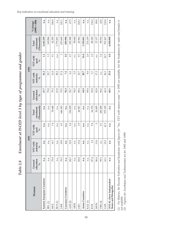Enrolment at ISCED level 3 by type of programme and gender Table 2.8 Enrolment at ISCED level 3 by type of programme and gender  $Table~2.8$ 

|      | $(1995 = 100)$<br>% change         | n.a.                       | n.a.    | 106.9      | n.a.      | 101.1   | n.a.               | 67.5    | n.a.       | 102.3  | n.a.            | n.a.    | 136.2  | 89.0       | 22.0    | 123.0   | n.a.                                                   |
|------|------------------------------------|----------------------------|---------|------------|-----------|---------|--------------------|---------|------------|--------|-----------------|---------|--------|------------|---------|---------|--------------------------------------------------------|
|      | (Thousands)<br>enrolment<br>Total  | 2.645.239                  | 169.884 | 42.385     | 1.779.301 | 653.669 | 209.990            | 105.388 | 58.640     | 45.962 | 1.195.661       | 274.159 | 88.182 | 27.137     | 98.916  | 707.267 | 4.050.890                                              |
|      | VET with<br>qual.                  | 1.1                        | 1.3     | 9.1        | n.a.      | 3       | 0.5                | 0.7     | n.r.       | 0.7    | 14.4            | 2.0     | 3.5    | nr.        | 3.4     | 22.7    | 4.9                                                    |
| 1999 | VET with<br>maturity<br>$\sqrt{6}$ | 31.2                       | 19.7    | 11.8       | 38.2      | 17.4    | 7.2                | 6.6     | 5.5        | 10.7   | 20.7            | 9.0     | 3.7    | 17.2       | n.r.    | 30.3    | 27.0                                                   |
|      | education<br>General<br>$\sqrt{6}$ | 67.7                       | 79.0    | 79.2       | 61.8      | 79.5    | 92.3               | 92.7    | 94.5       | 88.6   | 64.9            | 89.0    | 92.8   | 82.8       | 96.6    | 46.9    | 68.1                                                   |
|      | (Thousands)<br>enrolment<br>Total  | n.a.                       | n.a.    | 39.648     | n.a.      | 646.343 | n.a.               | 156.038 | n.a.       | 44.927 | n.a.            | n.a.    | 64.732 | 30.495     | 449.208 | 575.195 | n.a.                                                   |
|      | VET with<br>qual.                  | n.a.                       | n.a.    | 7.4        | n.a.      | 4.5     | n.a.               | 2.4     | n.a.       | 3.9    | n.a.            | n.a.    | 9.4    | $\circ$    | 0.7     | 41.5    | n.a.                                                   |
| 1995 | VET with<br>maturity<br>$\sqrt{6}$ | n.a.                       | n.a.    | 16.7       | n.a.      | 19.0    | n.a.               | 12.9    | n.a.       | 13.4   | n.a.            | n.a.    | 3.3    | 13.6       | n.r.    | 15.3    | n.a.                                                   |
|      | education<br>General<br>$\sqrt{6}$ | n.a.                       | n.a.    | 75.9       | n.a.      | 76.5    | n.a.               | 84.7    | n.a.       | 82.8   | n.a.            | n.a.    | 87.4   | 86.4       | 99.3    | 43.1    | n.a.                                                   |
|      | Women                              | Eastern European Countries | BEL (1) | <b>NOL</b> | RUS(1)    | UKR     | Caucasus Countries | AZE(2)  | <b>ARM</b> | GEO    | Asian Countries | KAZ(1)  | KYR    | <b>MON</b> | TRK (2) | UZB     | TOTAL (New Independent<br><b>States and Mongolia</b> ) |

(1) For Belarus, the Russian Federation and Kazakstan, total figures for "Sec. VET with matura exam" in 1995 are available, but the breakdown for males and females is<br>not available.<br>(2) Figures for Azerbaijan and Turkmenis (1) For Belarus, the Russian Federation and Kazakstan, total figures for "Sec. VET with matura exani" in 1995 are available, but the breakdown for males and females is *not available.*

*(2) Figures for Azerbaijan and Turkmenistan are for 1995 and 1998.*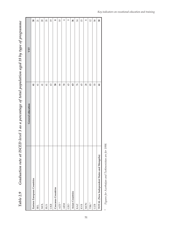Graduation rate at ISCED level 3 as a percentage of total population aged 18 by type of programme Table 2.9 Graduation rate at ISCED level 3 as a percentage of total population aged 18 by type of programme  $Table~2.9$ 

|                                             | General education | VET             |
|---------------------------------------------|-------------------|-----------------|
| Eastern European Countries                  | 61                | 30              |
| <b>BEL</b>                                  | 61                | 21              |
| <b>NOL</b>                                  | $\overline{4}$    | $20\,$          |
| <b>RUS</b>                                  | 61                | 35              |
| UKR                                         | 63                | 19              |
| Caucasus Countries                          | 58                | 8               |
| $AZE^*$                                     | 66                | 10              |
| <b>ARM</b>                                  | 58                | 4               |
| GEO                                         | 43                | $\mathcal{O}$   |
| <b>Asian Countries</b>                      | 63                | 36              |
| KAZ                                         | 76                | 14              |
| <b>KYR</b>                                  | 65                | 15              |
| <b>MON</b>                                  | 28                | ${}^{\circ}$    |
| TRK <sup>*</sup>                            | 85                | $\overline{12}$ |
| UZB                                         | 55                | 58              |
| TOTAL (New Independent States and Mongolia) | 61                | 30              |
|                                             |                   |                 |

Figures for Azerbaijan and Turkmenistan are for 1998. *\* Figures for Azerbaijan and Turkmenistan are for 1998.*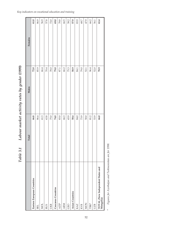|                                                | Total  | Males    | Females |
|------------------------------------------------|--------|----------|---------|
| Eastern European Countries                     | 66.8   | 72.0     | 61.0    |
| <b>BEL</b>                                     | 86.4   | 85.9     | 86.9    |
| <b>NOL</b>                                     | $61.3$ | 66.4     | 56.9    |
| <b>RUS</b>                                     | 63.8   | $70.4\,$ | 57.8    |
| UKR                                            | 75.0   | 78.0     | 72.0    |
| Caucasus Countries                             | 74.0   | 79.0     | 69.0    |
| AZE*                                           | 83.0   | 87.1     | 78.8    |
| <b>ARM</b>                                     | 66.3   | 66.2     | 66.5    |
| GEO                                            | 65.9   | 75.3     | 58.2    |
| <b>Asian Countries</b>                         | 58.4   | 58.9     | 57.9    |
| KAZ                                            | 84.0   | 84.1     | 83.9    |
| <b>KYR</b>                                     | 73.9   | 79.0     | 68.7    |
| <b>MON</b>                                     | 50.0   | 52.1     | 47.9    |
| TRK*                                           | 81.2   | 96.4     | 66.2    |
| <b>UZB</b>                                     | 53.9   | 52.0     | 56.1    |
| TOTAL (New Independent States and<br>Mongolia) | 66.0   | 70.9     | 61.4    |
|                                                |        |          |         |

Labour market activity rates by gender (1999) *Table 3.1 Labour market activity rates by gender (1999)* Table 3.1

Figures for Azerbaijan and Turkmenistan are for 1998. *\* Figures for Azerbaijan and Turkmenistan are for 1998.*  $\star$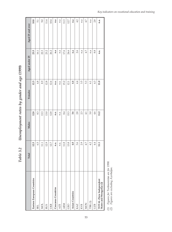| $\sim$                               |
|--------------------------------------|
|                                      |
|                                      |
|                                      |
|                                      |
|                                      |
| Unemployment rates by gender and age |
| Table 3.2                            |

|                                                    | Total | <b>Males</b> | Females | Aged under 25 | Aged 25 and over |
|----------------------------------------------------|-------|--------------|---------|---------------|------------------|
| Eastern European Countries                         | 12.5  | 12.8         | 12.3    | 23.5          | 10.8             |
| <b>BEL</b>                                         | 6.5   | 8.3          | 4.8     | 16.1          | 5.1              |
| <b>MOL</b>                                         | 11.1  | 13.3         | 8.9     | 22.3          | 9.0              |
| <b>RUS</b>                                         | 12.9  | 13.0         | 12.8    | 23.2          | 11.4             |
| <b>UKR</b>                                         | 12.7  | 12.8         | 12.6    | 26.2          | 10.4             |
| Caucasus Countries                                 | n.a.  | n.a.         | n.a.    | n.a           | n.a              |
| <b>AZE</b>                                         | n.a.  | n.a.         | n.a.    | n.a           | n.a              |
| <b>ARM</b>                                         | 11.8  | 8.4          | 15.2    | 17.6          | 11.3             |
| GEO                                                | 13.8  | 15.3         | 12.1    | 24.6          | 12.7             |
| <b>Asian Countries</b>                             | 4.0   | 3.6          | 4.4     | n.a           | n.a              |
| KAZ                                                | 3.6   | 2.8          | 4.4     | 2.6           | 4.2              |
| <b>KYR</b>                                         | 2.9   | 2.3          | 3.5     | n.a           | n.a              |
| <b>MON</b>                                         | 4.7   | 4.1          | 53      | 4.7           | 4.7              |
| $\text{TRK}\left(1\right)$                         | 4.2   | 3.0          | 6.1     | n.a           | n.a              |
| <b>UZB</b>                                         | 4.4   | 4.6          | 4.3     | 8.8           | 2.8              |
| TOTAL (New Independent<br>States and Mongolia) (2) | 11.1  | 11.2         | 11.0    | n.a.          | n.a.             |

Figures for Turkmenistan are for 1998.<br>Figures are excluding Azerbaijan. *(1) Figures for Turkmenistan are for 1998. (2) Figures are excluding Azerbaïjan.*  $\widehat{\Xi}$ 

*Key indicators on vocational education and training*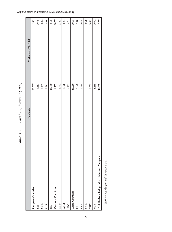| 3.702<br>1.320<br>5.948<br>114.332<br>1.495<br>1.733<br>19.250<br>1.764<br>814<br>8.885<br>88.327<br>18.790<br>6.755<br>1.839<br>63.891<br>4.151<br>TOTAL (New Independent States and Mongolia)<br>European Countries<br>Caucasus Countries<br><b>Asian Countries</b><br><b>MON</b><br>AZE*<br>TRK*<br><b>ARM</b><br><b>NOL</b><br>UKR<br>KAZ<br><b>KYR</b><br>GEO<br>UZB<br><b>RUS</b><br><b>BEL</b> | Thousands | % change $(1995 = 100)$ |
|-------------------------------------------------------------------------------------------------------------------------------------------------------------------------------------------------------------------------------------------------------------------------------------------------------------------------------------------------------------------------------------------------------|-----------|-------------------------|
|                                                                                                                                                                                                                                                                                                                                                                                                       |           | 96.2                    |
|                                                                                                                                                                                                                                                                                                                                                                                                       |           | 103.5                   |
|                                                                                                                                                                                                                                                                                                                                                                                                       |           | 89.4                    |
|                                                                                                                                                                                                                                                                                                                                                                                                       |           | 99.6                    |
|                                                                                                                                                                                                                                                                                                                                                                                                       |           | 85.6                    |
|                                                                                                                                                                                                                                                                                                                                                                                                       |           | 107.7                   |
|                                                                                                                                                                                                                                                                                                                                                                                                       |           | 132.1                   |
|                                                                                                                                                                                                                                                                                                                                                                                                       |           | 89.4                    |
|                                                                                                                                                                                                                                                                                                                                                                                                       |           | 87.1                    |
|                                                                                                                                                                                                                                                                                                                                                                                                       |           | 101.7                   |
|                                                                                                                                                                                                                                                                                                                                                                                                       |           | 93.0                    |
|                                                                                                                                                                                                                                                                                                                                                                                                       |           | 107.5                   |
|                                                                                                                                                                                                                                                                                                                                                                                                       |           | 106.0                   |
|                                                                                                                                                                                                                                                                                                                                                                                                       |           | 109.9                   |
|                                                                                                                                                                                                                                                                                                                                                                                                       |           | 105.2                   |
|                                                                                                                                                                                                                                                                                                                                                                                                       |           | 97.7                    |

Total employment (1999) *Table 3.3 Total employment (1999)* Table 3.3

> 1998 for Azerbaijan and Turkmenistan. *\* 1998 for Azerbaijan and Turkmenistan.*  $\star$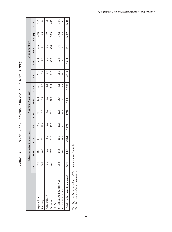|                                |            | Eastern I | European Countries |        |        | <b>Caucasus Countries</b> |                  |       |            | <b>Asian Countries</b> |        |       |
|--------------------------------|------------|-----------|--------------------|--------|--------|---------------------------|------------------|-------|------------|------------------------|--------|-------|
|                                | <b>BEL</b> | ኳ<br>X    | <b>RUS</b>         | UKR    | AZE(1) | <b>ARM</b>                | GEO              | KAZ   | <b>KYR</b> | <b>MON</b>             | TRK(1) | UZB   |
| Agriculture                    | 17.0       | 48.9      | 13.3               | 26.2   | 30.8   | 42.4                      | 52.2             | 22.6  | 52.4       | 49.5                   | 48.3   | 36.5  |
| Industry                       | 29.3       | 10.7      | 22.4               | 23.1   | 7.0    | 15.7                      | $\overline{8.0}$ | 15.2  | 9.0        | 12.1                   | 12.5   | 12.8  |
| Construction                   | 7.1        | 2.9       | 8.0                | 52     | 4.2    | 4.2                       | 14               | 3.5   | 2.6        | 3.4                    | 5.9    | 6.5   |
| Services                       | 46.6       | 37.5      | 56.3               | 45.5   | 58.0   | 37.7                      | 38.4             | 58.7  | 36.0       | 35.0                   | 33.3   | 44.2  |
| of which:                      |            |           |                    |        |        |                           |                  |       |            |                        |        |       |
| <b>Health and Education(2)</b> | 18.5       | 14.5      | 16.3               | 19.6   | 12.6   | 15.7                      | 6.1              | 14.0  | 12.8       | 9.6                    | 15.2   | 18.4  |
| Trade and Catering(2)          | 13.0       | 10.0      | 19.8               | 12.4   | 16.1   | 8.5                       | 9.8              | 24.7  | 111        | 12.2                   | 6.3    | 8.3   |
| Total employment (thousands)   | 4.151      | .495      | 63.891             | 18.790 | 3.702  | 1.320                     | 1.733            | 5.948 | 1.764      | 814                    | 1.839  | 8.885 |

Structure of employment by economic sector (1999) *Table 3.4 Structure of employment by economic sector (1999)* Table 3.4

Figures for Azerbaijan and Turkmenistan are for 1998.<br>Percentage of total employment. *(1) Figures for Azerbaijan and Turkmenistan are for 1998.*

*(2) Percentage of total employment.*  $\widehat{\Xi}$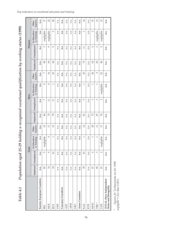Population aged 25-29 holding a recognised vocational qualification by working status (1999) Table 4.1 Population aged 25-29 holding a recognised vocational qualification by working status (1999) Table 4.1

|                                                        |                | Total                 |                             |                   |          |                 | Men                         |                   |          | Women           |                             |                   |
|--------------------------------------------------------|----------------|-----------------------|-----------------------------|-------------------|----------|-----------------|-----------------------------|-------------------|----------|-----------------|-----------------------------|-------------------|
|                                                        |                | Employed   Unemployed | In Education<br>or Training | Inactive<br>Other | Employed | Unemployed      | In Education<br>or Training | Inactive<br>Other | Employed | Unemployed      | In Education<br>or Training | Inactive<br>Other |
| Eastern European Countries                             | n.a.           | n.a                   | n.a                         | n.a.              | n.a.     | n.a             | n.a                         | n.a.              | n.a.     | n.a             | n.a                         | n.a.              |
| <b>BEL</b>                                             | 83             | IJ                    | negligible                  | 12                | 86       | $\sim$          | 0                           | $\sim$            | 80       | 3               | negligible                  | 17                |
| <b>MOL</b>                                             | $\overline{7}$ | Ō                     | $\circ$                     | 17                | 75       | $\Box$          | $\circ$                     | 14                | 69       | Q               | negligible                  | 22                |
| <b>RUS</b>                                             | 74             | 10                    | 1                           | 15                | 29       | $\Box$          | $\overline{ }$              | 10                | 69       | Ò               | $\overline{\mathcal{C}}$    | 20                |
| UKR                                                    | n.a.           | n.a                   | n.a                         | n.a.              | n.a.     | n.a             | n.a                         | n.a.              | n.a.     | n.a             | n.a                         | n.a.              |
| Caucasus Countries                                     | n.a.           | n.a                   | n.a                         | n.a.              | n.a.     | n.a             | n.a                         | n.a.              | n.a.     | n.a             | n.a                         | n.a.              |
| <b>AZE</b>                                             | n.a.           | n.a                   | n.a                         | n.a.              | n.a.     | n.a             | n.a                         | n.a.              | n.a.     | n.a             | n.a                         | n.a.              |
| ARM                                                    | n.a.           | n.a                   | n.a                         | n.a.              | n.a.     | n.a             | n.a                         | n.a.              | n.a.     | n.a             | n.a                         | n.a.              |
| GEO                                                    | n.a.           | n.a                   | n.a                         | n.a.              | n.a.     | n.a             | n.a                         | n.a.              | n.a.     | n.a             | n.a                         | n.a.              |
| Asian Countries                                        | n.a.           | n.a                   | n.a                         | n.a.              | n.a.     | n.a             | n.a                         | n.a.              | n.a.     | n.a             | n.a                         | n.a.              |
| KAZ                                                    | 78             | $\overline{10}$       |                             | 12                | 81       | Q               |                             | 10                | 52       | $\Box$          | 1                           | $\overline{14}$   |
| <b>KYR</b>                                             | n.a.           | n.a                   | n.a                         | n.a.              | n.a.     | n.a             | n.a                         | n.a.              | n.a.     | n.a             | n.a                         | n.a.              |
| <b>MON</b>                                             | 67             | 4                     | $\overline{ }$              | 28                | 22       | 3               | 1                           | 24                | S        | 4               | $\sim$                      | 33                |
| TRK <sup>*</sup>                                       | 85             | 3                     | 1                           | $\Box$            | 78       | 3               | $\overline{ }$              | Ó                 | 83       | 3               | negligible                  | 13                |
| UZB                                                    | 81             | $\sim$                | negligible                  | 17                | 76       | $\mathbf{\sim}$ | negligible                  | 22                | 86       | $\mathbf{\sim}$ | negligible                  | $\mathfrak{L}$    |
| TOTAL (New Independent<br><b>States and Mongolia</b> ) | n.a.           | n.a.                  | n.a.                        | n.a.              | n.a.     | n.a.            | n.a.                        | n.a.              | n.a.     | n.a.            | n.a.                        | n.a.              |

<sup>\*</sup> Figures for Turkmenistan are for 1998.<br>negligible'= less than 0.05%. *\* Figures for Turkmenistan are for 1998. negligible'= less than 0.05%.*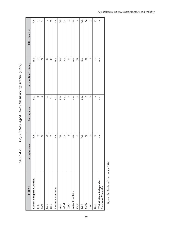| 7000                                    |
|-----------------------------------------|
|                                         |
|                                         |
|                                         |
|                                         |
| Population aged 16-25 by working status |
| Table 4.2                               |

| <b>TOTAL</b>                                   | In employment | Unemployed      | In Education Training | Other Inactive  |
|------------------------------------------------|---------------|-----------------|-----------------------|-----------------|
| Eastern European Countries                     | n.a.          | n.a.            | n.a.                  | n.a.            |
| <b>BEL</b>                                     | 45            | $^{\circ}$      | 33                    | 14              |
| <b>NOL</b>                                     | 38            | $\Xi$           | 31                    | 21              |
| <b>RUS</b>                                     | 39            | $\Box$          | $\mathfrak{B}$        | $\sim$          |
| UKR                                            | 31            | $\Box$          | 43                    | 15              |
| Caucasus Countries                             | n.a.          | n.a.            | n.a.                  | n.a.            |
| <b>AZE</b>                                     | n.a.          | n.a.            | n.a.                  | n.a.            |
| <b>ARM</b>                                     | n.a.          | n.a.            | n.a.                  | n.a.            |
| GEO                                            | ${}^{\circ}$  | 3               | $\triangleright$      | 12              |
| Asian Countries                                | n.a.          | n.a.            | n.a.                  | n.a.            |
| KAZ                                            | 43            | $\overline{12}$ | 31                    | $\overline{14}$ |
| <b>KYR</b>                                     | n.a.          | n.a.            | n.a.                  | n.a.            |
| <b>MON</b>                                     | $50\,$        | $\sim$          | Z                     | 26              |
| TRK <sup>*</sup>                               | 73            | 4               | $\circ$               | $17$            |
| <b>UZB</b>                                     | 52            | Б               | $\mathbb{Z}$          | $21\,$          |
| TOTAL (New Independent<br>States and Mongolia) | n.a.          | n.a.            | n.a.                  | n.a.            |

Figures for Turkmenistan are for 1998. *\* Figures for Turkmenistan are for 1998.*

 $^\star$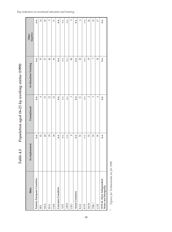| Men                                            | In employment | Unemployed     | In Education Training | Inactive<br>Other |
|------------------------------------------------|---------------|----------------|-----------------------|-------------------|
| Eastern European Countries                     | n.a.          | n.a.           | n.a.                  | n.a.              |
| <b>BEL</b>                                     | 43            | $^{\circ}$     | 35                    | 14                |
| <b>NOL</b>                                     | 40            | 13             | 27                    | $\overline{20}$   |
| <b>RUS</b>                                     | 39            | $\overline{2}$ | $\overline{40}$       | $\circ$           |
| UKR                                            | 34            | $\overline{c}$ | $\mathfrak{B}$        | $\Xi$             |
| Caucasus Countries                             | n.a.          | n.a.           | n.a.                  | n.a.              |
| <b>AZE</b>                                     | n.a.          | n.a.           | n.a.                  | n.a.              |
| <b>ARM</b>                                     | n.a.          | n.a.           | n.a.                  | n.a.              |
| GEO                                            | ${}^{\circ}$  | 3              | $\pmb{8}$             | $\circ$           |
| Asian Countries                                | n.a.          | n.a.           | n.a.                  | n.a.              |
| KAZ                                            | 53            | $\Box$         | 30                    | $\circ$           |
| <b>KYR</b>                                     | n.a.          | n.a.           | n.a.                  | n.a.              |
| <b>MON</b>                                     | 53            | $\sim$         | $\overline{19}$       | 26                |
| $\text{TRK}^*$                                 | 76            | 3              | $\triangleright$      | 14                |
| UZB                                            | 59            | 4              | $\mathbb{S}$          | 17                |
| TOTAL (New Independent<br>States and Mongolia) | n.a.          | n.a.           | n.a.                  | n.a.              |

Population aged 16-25 by working status (1999) *Table 4.3 Population aged 16-25 by working status (1999)* Table 4.3

Figures for Turkmenistan are for 1998. *\* Figures for Turkmenistan are for 1998.*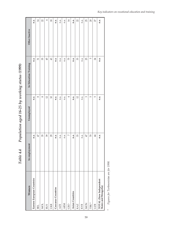| Population aged 16-25 by working status (1999) |
|------------------------------------------------|
| Table 4.4                                      |

| Women                                          | In employment  | Unemployed     | In Education Training | Other Inactive |
|------------------------------------------------|----------------|----------------|-----------------------|----------------|
| Eastern European Countries                     | n.a.           | n.a.           | n.a.                  | n.a.           |
| <b>BEL</b>                                     | 47             | 8              | 51                    | 14             |
| <b>NOL</b>                                     | 35             | $^{\circ}$     | 35                    | 22             |
| <b>RUS</b>                                     | 39             | $\mathfrak{L}$ | 45                    | 4              |
| UKR                                            | $_{29}$        | $\Box$         | $\mathfrak{B}$        | 18             |
| Caucasus Countries                             | n.a.           | n.a.           | n.a.                  | n.a.           |
| <b>AZE</b>                                     | n.a.           | n.a.           | n.a.                  | n.a.           |
| <b>ARM</b>                                     | n.a.           | n.a.           | n.a.                  | n.a.           |
| GEO                                            | $\sim$         | 4              | 54                    | 14             |
| <b>Asian Countries</b>                         | n.a.           | n.a.           | n.a.                  | n.a.           |
| KAZ                                            | 33             | $\overline{c}$ | 33                    | 22             |
| <b>KYR</b>                                     | n.a.           | n.a.           | n.a.                  | n.a.           |
| <b>MON</b>                                     | 47             | 3              | 55                    | 25             |
| $\text{TRK}^*$                                 | $\gtrsim$      | Б              | Б                     | 20             |
| <b>UZB</b>                                     | $\overline{4}$ | 5              | 24                    | 27             |
| TOTAL (New Independent<br>States and Mongolia) | n.a.           | n.a.           | n.a.                  | n.a.           |

Figures for Turkmenistan are for 1998. *\* Figures for Turkmenistan are for 1998.*

 $^\star$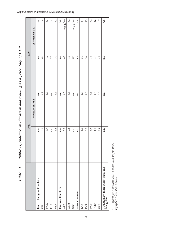|                                                |      | 1995            | 1999 |                 |
|------------------------------------------------|------|-----------------|------|-----------------|
|                                                |      | of which on VET |      | of which on VET |
| Eastern European Countries                     | n.a. | n.a.            | n.a. | n.a.            |
| <b>BEL</b>                                     | 6.1  | 0.9             | 6.4  | 1.4             |
| <b>NOL</b>                                     | 8.7  | 0.6             | 4.7  | 0.3             |
| <b>RUS</b>                                     | n.a. | n.a.            | 2.8  | n.a.            |
| UKR                                            | 5.4  | 0.4             | 3.7  | 0.2             |
| Caucasus Countries                             | n.a. | n.a.            | n.a. | n.a.            |
| $AZE^*$                                        | 3.5  | 0.3             | 0.3  | negligible      |
| <b>ARM</b>                                     | 2.4  | 0.3             | 1.9  | 0.2             |
| GEO                                            | n.a. | n.a.            | 0.3  | negligible      |
| Asian Countries                                | n.a. | n.a.            | n.a. | n.a.            |
| KAZ                                            | 4.5  | 0.3             | 3.9  | 0.1             |
| <b>KYR</b>                                     | 6.6  | 0.6             | 3.4  | 0.3             |
| <b>MON</b>                                     | 5.5  | 0.6             | 7.4  | 0.2             |
| $\text{TRK}$ *                                 | 1.1  | 0.3             | 4.3  | 0.6             |
| <b>UZB</b>                                     | 3.8  | 2.0             | 4.8  | 1.7             |
| TOTAL (New Independent States and<br>Mongolia) | n.a. | n.a.            | n.a. | n.a.            |

Public expenditure on education and training as a percentage of GDP Table 5.1 Public expenditure on education and training as a percentage of GDP Table 5.1

\* Figures for Azerbaijan and Turkmenistan are for 1998.<br>negligible' = less than 0.05%. *\* Figures for Azerbaijan and Turkmenistan are for 1998. negligible' = less than 0.05%.*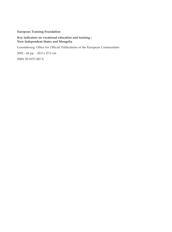## **European Training Foundation**

## **Key indicators on vocational education and training - New Independent States and Mongolia**

Luxembourg: Office for Official Publications of the European Communities

2002 - 66 pp. - 20.0 x 27.0 cm

ISBN 92-9157-287-X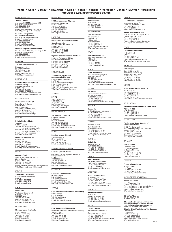## **Venta • Salg • Verkauf • Pvlèseiw • Sales • Vente • Vendita • Verkoop • Venda • Myynti • Försäljning http://eur-op.eu.int/general/en/s-ad.htm**

### BELGIQUE/BELGIË

**Jean De Lannoy**

Avenue du Roi 202/Koningslaan 202 B-1190 Bruxelles/Brussel Tél. (32-2) 538 43 08 Fax (32-2) 538 08 41 E-mail: jean.de.lannoy@infoboard.be URL: http://www.jean-de-lannoy.be

## **La librairie européenne/ De Europese Boekhandel**

Rue de la Loi 244/Wetstraat 244 B-1040 Bruxelles/Brussel Tél. (32-2) 295 26 39 Fax (32-2) 735 08 60 E-mail: mail@libeurop.be URL: http://www.libeurop.be

## **Moniteur belge/Belgisch Staatsblad**

Rue de Louvain 40-42/Leuvenseweg 40-42 B-1000 Bruxelles/Brussel Tél. (32-2) 552 22 11 Fax (32-2) 511 01 84 E-mail: eusales@just.fgov.be

#### DANMARK

#### **J. H. Schultz Information A/S**

Herstedvang 12<br>DK-2620 Albertslund DK-2620 Albertslund Tlf. (45) 43 63 23 00 Fax (45) 43 63 19 69 E-mail: schultz@schultz.dk URL: http://www.schultz.dk

#### DEUTSCHLAND

**Bundesanzeiger Verlag GmbH**

Vertriebsabteilung Amsterdamer Straße 192 D-50735 Köln Tel. (49-221) 97 66 80 Fax (49-221) 97 66 82 78 E-Mail: vertrieb@bundesanzeiger.de URL: http://www.bundesanzeiger.de

#### ΕΛΛΑΔΑ/GREECE

**G. C. Eleftheroudakis SA** International Bookstore Panepistimiou 17 GR-10564 Athina Tel. (30-1) 331 41 80/1/2/3/4/5 Fax (30-1) 325 84 99 E-mail: elebooks@netor.gr URL: elebooks@hellasnet.gr

#### ESPAÑA

**Boletín Oficial del Estado** Trafalgar, 27<br>E-28071 Madrid E-28071 Madrid<br>Tel. (34) 915 38 21 11 (libros),<br>Fax (34) 915 38 21 21 (libros),<br>913 84 27 21 (libros),<br>E-mail: clientes@com.boe.es<br>C-mail: clientes@com.boe.es<br>URL: http://www.boe.es

**Mundi Prensa Libros, SA**

Castelló, 37<br>E-28001 Madrid<br>Tel. (34) 914 36 37 00<br>Fax (34) 915 75 39 98<br>E-mail: libreria@mundiprensa.es<br>URL: http://www.mundiprensa.com

#### **FRANCE**

**Journal officiel**

Service des publications des CE 26, rue Desaix<br>F-75727 Paris Cedex 15<br>Tél. (33) 140 58 77 31<br>Fax (33) 140 58 77 00<br>E-mail: europublications@journal-officiel.gouv.fr<br>URL: http://www.journal-officiel.gouv.fr

#### IRELAND

**Alan Hanna's Bookshop** 270 Lower Rathmines Road

Dublin 6 Tel. (353-1) 496 73 98 Fax (353-1) 496 02 28 E-mail: hannas@iol.ie

## **ITALIA**

**Licosa SpA** Via Duca di Calabria, 1/1 Casella postale 552<br>I-50125 Firenze<br>Tel. (39) 055 64 83 1<br>Fax (39) 055 64 12 57<br>E-mail: licosa@licosa.com<br>URL: http://www.licosa.com

## LUXEMBOURG

**Messageries du livre SARL**

5, rue Raiffeisen L-2411 Luxembourg Tél. (352) 40 10 20 Fax (352) 49 06 61 E-mail: mail@mdl.lu URL: http://www.mdl.lu

**SDU Servicecentrum Uitgevers** Christoffel Plantijnstraat 2 Postbus 20014 2500 EA Den Haag Tel. (31-70) 378 98 80 Fax (31-70) 378 97 83 E-mail: sdu@sdu.nl URL: http://www.sdu.nl

#### PORTUGAL

NEDERLAND

**Distribuidora de Livros Bertrand Ld.ª** Grupo Bertrand, SA Rua das Terras dos Vales, 4-A Apartado 60037 P-2700 Amadora Tel. (351) 214 95 87 87 Fax (351) 214 96 02 55 E-mail: dlb@ip.pt

## **Imprensa Nacional-Casa da Moeda, SA**

Sector de Publicações Oficiais Rua da Escola Politécnica, 135 P-1250-100 Lisboa Codex Tel. (351) 213 94 57 00 Fax (351) 213 94 57 50 E-mail: spoce@incm.pt URL: http://www.incm.pt

## SUOMI/FINLAND

**Akateeminen Kirjakauppa/ Akademiska Bokhandeln**

Keskuskatu 1/Centralgatan 1<br>FIN-00101 Helsinki/Helsingfors<br>P./tfn (358-9) 121 44 18<br>F./fax (358-9) 121 44 35<br>Sähköposti: sps@akateeminen.com<br>URL: http://www.akateeminen.com

#### SVERIGE

**BTJ AB** Traktorvägen 11-13 S-221 82 Lund Tlf. (46-46) 18 00 00 Fax (46-46) 30 79 47 E-post: btjeu-pub@btj.se URL: http://www.btj.se

## UNITED KINGDOM

**The Stationery Office Ltd** Customer Services PO Box 29 Norwich NR3 1GN Tel. (44) 870 60 05-522 Fax (44) 870 60 05-533 E-mail: book.orders@theso.co.uk URL: http://www.itsofficial.net

## ÍSLAND

**Bokabud Larusar Blöndal** Skólavördustig, 2 IS-101 Reykjavik Tel. (354) 552 55 40 Fax (354) 552 55 60 E-mail: bokabud@simnet.is

## SCHWEIZ/SUISSE/SVIZZERA

**Euro Info Center Schweiz** c/o OSEC Business Network Switzerland<br>Stampfenbachstraße 85 Stampfenbachstraße 85 PF 492 CH-8035 Zürich Tel. (41-1) 365 53 15 Fax (41-1) 365 54 11 E-mail: eics@osec.ch URL: http://www.osec.ch/eics

BĂLGARIJA

**Europress Euromedia Ltd** 59, blvd Vitosha BG-1000 Sofia Tel. (359-2) 980 37 66 Fax (359-2) 980 42 30 E-mail: Milena@mbox.cit.bg URL: http://www.europress.bg

## **CYPRUS**

EESTI

**Cyprus Chamber of Commerce and Industry** PO Box 21455 CY-1509 Nicosia Tel. (357-2) 88 97 52 Fax (357-2) 66 10 44 E-mail: demetrap@ccci.org.cy

## **Eesti Kaubandus-Tööstuskoda**

(Estonian Chamber of Commerce and Industry) Toom-Kooli 17 EE-10130 Tallinn Tel. (372) 646 02 44 Fax (372) 646 02 45 E-mail: einfo@koda.ee URL: http://www.koda.ee

**Mediatrade Ltd** Pavla Hatza 1 HR-10000 Zagreb Tel. (385-1) 481 94 11 Fax (385-1) 481 94 11

**HRVATSKA** 

### MAGYARORSZÁG

**Euro Info Service** Szt. István krt.12 III emelet 1/A PO Box 1039 H-1137 Budapest Tel. (36-1) 329 21 70 Fax (36-1) 349 20 53 E-mail: euroinfo@euroinfo.hu URL: http://www.euroinfo.hu

#### MALTA

**Miller Distributors Ltd** Malta International Airport PO Box 25 Luqa LQA 05 Tel. (356) 66 44 88 Fax (356) 67 67 99 E-mail: gwirth@usa.net

## **NORGE**

**Swets Blackwell AS** Hans Nielsen Hauges gt. 39<br>Boks 4901 Nydalen<br>N-0423 Oslo<br>Fax (47) 23 40 00 00<br>Eax (47) 23 40 00 01<br>E-mail: info@no.swetsblackwell.com<br>URL: http://www.swetsblackwell.com.no

### POLSKA

**Ars Polona** Krakowskie Przedmiescie 7 Skr. pocztowa 1001 PL-00-950 Warszawa Tel. (48-22) 826 12 01 Fax (48-22) 826 62 40 E-mail: books119@arspolona.com.pl

## ROMÂNIA

**Euromedia** Str.Dionisie Lupu nr. 65, sector 1 RO-70184 Bucuresti Tel. (40-1) 315 44 03 Fax (40-1) 312 96 46 euromedia@mailcity.com

## **SLOVAKIA**

**Centrum VTI SR** Nám. Slobody, 19 SK-81223 Bratislava Tel. (421-7) 54 41 83 64 Fax (421-7) 54 41 83 64 E-mail: europ@tbb1.sltk.stuba.sk URL: http://www.sltk.stuba.sk

## SLOVENIJA

**GV Zalozba** Dunajska cesta 5 SLO-1000 Ljubljana Tel. (386) 613 09 1804 Fax (386) 613 09 1805 E-mail: europ@gvestnik.si URL: http://www.gvzalozba.si

## **TÜRKIYE**

**Dünya Infotel AS** 100, Yil Mahallessi 34440 TR-80050 Bagcilar-Istanbul Tel. (90-212) 629 46 89 Fax (90-212) 629 46 27 E-mail: aktuel.info@dunya.com

## ARGENTINA

**World Publications SA**

Av. Cordoba 1877 C1120 AAA Buenos Aires Tel. (54-11) 48 15 81 56 Fax (54-11) 48 15 81 56 E-mail: wpbooks@infovia.com.ar URL: http://www.wpbooks.com.ar

## **AUSTRALIA**

**Hunter Publications** PO Box 404 Abbotsford, Victoria 3067 Tel. (61-3) 94 17 53 61 Fax (61-3) 94 19 71 54 E-mail: jpdavies@ozemail.com.au

#### **BRESIL**

**Livraria Camões** Rua Bittencourt da Silva, 12 C CEP 20043-900 Rio de Janeiro

Tel. (55-21) 262 47 76 Fax (55-21) 262 47 76 E-mail: livraria.camoes@incm.com.br URL: http://www.incm.com.br

## **CANADA**

**Les éditions La Liberté Inc.**

3020, chemin Sainte-Foy Sainte-Foy, Québec G1X 3V6 Tel. (1-418) 658 37 63 Fax (1-800) 567 54 49 E-mail: liberte@mediom.qc.ca **Renouf Publishing Co. Ltd**

5369 Chemin Canotek Road, Unit 1 Ottawa, Ontario K1J 9J3 Tel. (1-613) 745 26 65 Fax (1-613) 745 76 60 E-mail: order.dept@renoufbooks.com URL: http://www.renoufbooks.com

#### **EGYPT**

#### **The Middle East Observer**

41 Sherif Street Cairo Tel. (20-2) 392 69 19 Fax (20-2) 393 97 32 E-mail: inquiry@meobserver.com URL: http://www.meobserver.com.eg

#### MALAYSIA

**EBIC Malaysia**

Suite 45.02, Level 45 Plaza MBf (Letter Box 45) 8 Jalan Yap Kwan Seng 50450 Kuala Lumpur Tel. (60-3) 21 62 92 98 Fax (60-3) 21 62 61 98 E-mail: ebic@tm.net.my

## MÉXICO

**Mundi Prensa México, SA de CV**

Río Pánuco, 141 Colonia Cuauhtémoc MX-06500 México, DF Tel. (52-5) 533 56 58 Fax (52-5) 514 67 99 E-mail: 101545.2361@compuserve.com

#### SOUTH AFRICA

**Eurochamber of Commerce in South Africa** PO Box 781738 2146 Sandton Tel. (27-11) 884 39 52 Fax (27-11) 883 55 73 E-mail: info@eurochamber.co.za

## SOUTH KOREA

## **The European Union Chamber of Commerce in Korea**

5th FI, The Shilla Hotel 202, Jangchung-dong 2 Ga, Chung-ku Seoul 100-392 Tel. (82-2) 22 53-5631/4 Fax (82-2) 22 53-5635/6 E-mail: eucck@eucck.org URL: http://www.eucck.org

4611-F Assembly Drive Lanham MD 20706-4391 Tel. (1-800) 274 44 47 (toll free telephone) Fax (1-800) 865 34 50 (toll free fax) E-mail: query@bernan.com URL: http://www.bernan.com

**Bitte wenden Sie sich an ein Büro Ihrer Wahl/Please contact the sales office of your choice/Veuillez vous adresser au bureau de vente de votre choix** Office for Official Publications of the European

L-2985 Luxembourg<br>Tel. (352) 29 29-42455<br>Fax (352) 29 29-42758<br>E-mail: info-info-opoce@cec.eu.int<br>URL: publications.eu.int<br>URL: publications.eu.int

ANDERE LÄNDER OTHER COUNTRIES AUTRES PAYS

**Communities** 2, rue Mercier<br>L-2985 Luxembourg

#### SRI LANKA

**EBIC Sri Lanka**

T'AI-WAN **Tycoon Information Inc** PO Box 81-466 105 Taipei Tel. (886-2) 87 12 88 86 Fax (886-2) 87 12 47 47 E-mail: euitupe@ms21.hinet.net UNITED STATES OF AMERICA **Bernan Associates**

Trans Asia Hotel<br>115 Sir Chittampalam<br>A. Gardiner Mawatha<br>Colombo 2<br>Tel. (94-1) 074 71 50 78<br>Fax (94-1) 44 87 79<br>E-mail: ebicsl@slnet.ik